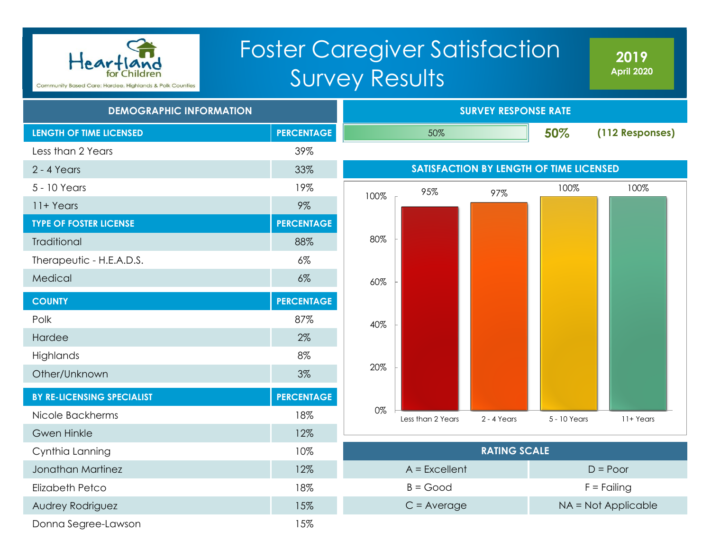

# Foster Caregiver Satisfaction Survey Results

**2019 April 2020**

| <b>DEMOGRAPHIC INFORMATION</b> |                   |      | <b>SURVEY RESPONSE RATE</b> |                     |                                         |                     |  |  |  |
|--------------------------------|-------------------|------|-----------------------------|---------------------|-----------------------------------------|---------------------|--|--|--|
| <b>LENGTH OF TIME LICENSED</b> | <b>PERCENTAGE</b> |      | 50%                         |                     | 50%                                     | (112 Responses)     |  |  |  |
| Less than 2 Years              | 39%               |      |                             |                     |                                         |                     |  |  |  |
| 2 - 4 Years                    | 33%               |      |                             |                     | SATISFACTION BY LENGTH OF TIME LICENSED |                     |  |  |  |
| 5 - 10 Years                   | 19%               | 100% | 95%                         | 97%                 | 100%                                    | 100%                |  |  |  |
| 11+ Years                      | $9\%$             |      |                             |                     |                                         |                     |  |  |  |
| <b>TYPE OF FOSTER LICENSE</b>  | <b>PERCENTAGE</b> |      |                             |                     |                                         |                     |  |  |  |
| Traditional                    | 88%               | 80%  |                             |                     |                                         |                     |  |  |  |
| Therapeutic - H.E.A.D.S.       | $6\%$             |      |                             |                     |                                         |                     |  |  |  |
| Medical                        | $6\%$             | 60%  |                             |                     |                                         |                     |  |  |  |
| <b>COUNTY</b>                  | <b>PERCENTAGE</b> |      |                             |                     |                                         |                     |  |  |  |
| Polk                           | 87%               | 40%  |                             |                     |                                         |                     |  |  |  |
| Hardee                         | 2%                |      |                             |                     |                                         |                     |  |  |  |
| Highlands                      | 8%                |      |                             |                     |                                         |                     |  |  |  |
| Other/Unknown                  | 3%                | 20%  |                             |                     |                                         |                     |  |  |  |
| BY RE-LICENSING SPECIALIST     | <b>PERCENTAGE</b> |      |                             |                     |                                         |                     |  |  |  |
| Nicole Backherms               | 18%               | 0%   | Less than 2 Years           | $2 - 4$ Years       | 5 - 10 Years                            | 11+ Years           |  |  |  |
| <b>Gwen Hinkle</b>             | 12%               |      |                             |                     |                                         |                     |  |  |  |
| Cynthia Lanning                | 10%               |      |                             | <b>RATING SCALE</b> |                                         |                     |  |  |  |
| Jonathan Martinez              | 12%               |      | $A = Excellent$             |                     |                                         | $D = Poor$          |  |  |  |
| <b>Elizabeth Petco</b>         | 18%               |      | $B = Good$                  |                     |                                         | $F =$ Failing       |  |  |  |
| Audrey Rodriguez               | 15%               |      | $C = Average$               |                     |                                         | NA = Not Applicable |  |  |  |
| Donna Segree-Lawson            | 15%               |      |                             |                     |                                         |                     |  |  |  |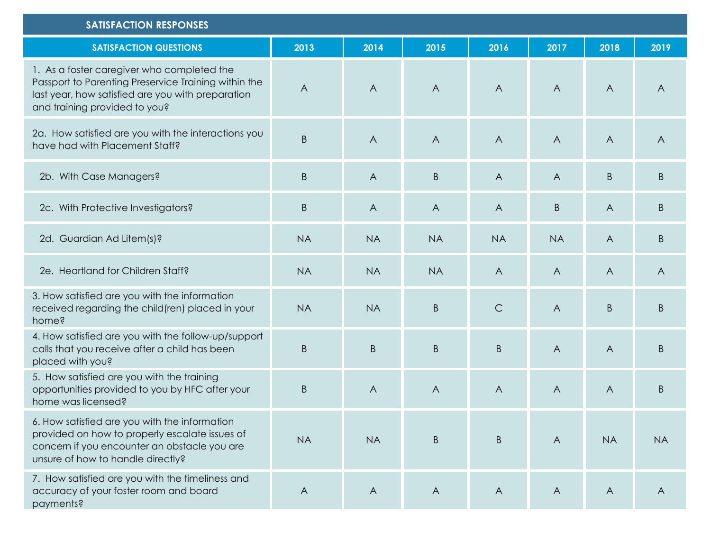| <b>SATISFACTION RESPONSES</b>                                                                                                                                                            |                |                |                |                |                |                |                |
|------------------------------------------------------------------------------------------------------------------------------------------------------------------------------------------|----------------|----------------|----------------|----------------|----------------|----------------|----------------|
| <b>SATISFACTION QUESTIONS</b>                                                                                                                                                            | 2013           | 2014           | 2015           | 2016           | 2017           | 2018           | 2019           |
| 1. As a foster caregiver who completed the<br>Passport to Parenting Preservice Training within the<br>last year, how satisfied are you with preparation<br>and training provided to you? | $\overline{A}$ | $\overline{A}$ | $\overline{A}$ | $\bigwedge$    | $\overline{A}$ | $\overline{A}$ | $\overline{A}$ |
| 2a. How satisfied are you with the interactions you<br>have had with Placement Staff?                                                                                                    | $\mathsf B$    | $\overline{A}$ | $\overline{A}$ | $\overline{A}$ | $\overline{A}$ | $\overline{A}$ | $\overline{A}$ |
| 2b. With Case Managers?                                                                                                                                                                  | B              | $\mathsf{A}$   | $\sf B$        | $\overline{A}$ | $\overline{A}$ | B              | B              |
| 2c. With Protective Investigators?                                                                                                                                                       | B              | $\overline{A}$ | $\overline{A}$ | A              | B              | $\overline{A}$ | B              |
| 2d. Guardian Ad Litem(s)?                                                                                                                                                                | <b>NA</b>      | <b>NA</b>      | <b>NA</b>      | <b>NA</b>      | <b>NA</b>      | $\overline{A}$ | B.             |
| 2e. Heartland for Children Staff?                                                                                                                                                        | <b>NA</b>      | <b>NA</b>      | <b>NA</b>      | $\overline{A}$ | $\overline{A}$ | $\mathsf{A}$   | $\overline{A}$ |
| 3. How satisfied are you with the information<br>received regarding the child(ren) placed in your<br>home?                                                                               | <b>NA</b>      | <b>NA</b>      | $\sf B$        | $\mathsf C$    | $\overline{A}$ | B              | B              |
| 4. How satisfied are you with the follow-up/support<br>calls that you receive after a child has been<br>placed with you?                                                                 | B              | $\sf B$        | $\sf B$        | $\mathsf B$    | $\overline{A}$ | $\overline{A}$ | B              |
| 5. How satisfied are you with the training<br>opportunities provided to you by HFC after your<br>home was licensed?                                                                      | B              | $\overline{A}$ | $\overline{A}$ | $\overline{A}$ | $\overline{A}$ | $\overline{A}$ | B.             |
| 6. How satisfied are you with the information<br>provided on how to properly escalate issues of<br>concern if you encounter an obstacle you are<br>unsure of how to handle directly?     | <b>NA</b>      | <b>NA</b>      | $\sf B$        | $\sf B$        | $\mathsf{A}$   | <b>NA</b>      | <b>NA</b>      |
| 7. How satisfied are you with the timeliness and<br>accuracy of your foster room and board<br>payments?                                                                                  | $\overline{A}$ | $\mathsf{A}$   | $\overline{A}$ | $\mathsf{A}$   | $\mathsf{A}$   | $\mathsf{A}$   | $\mathsf{A}$   |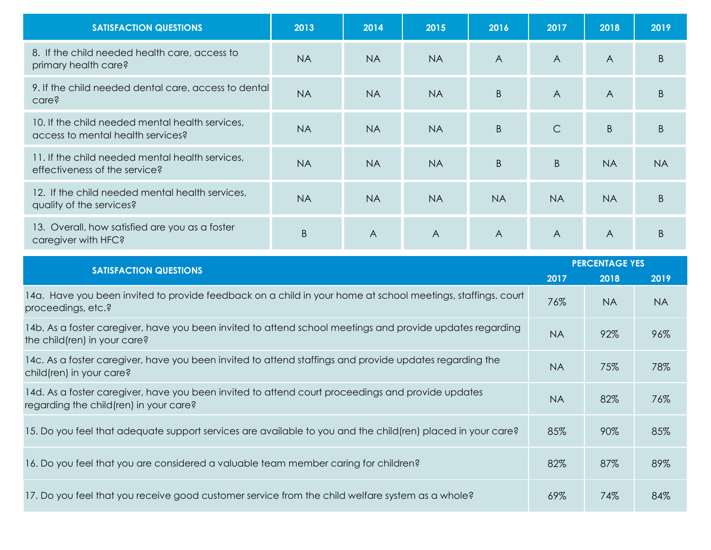| <b>SATISFACTION QUESTIONS</b>                                                        | 2013      | 2014      | 2015           | 2016           | 2017           | 2018           | 2019         |
|--------------------------------------------------------------------------------------|-----------|-----------|----------------|----------------|----------------|----------------|--------------|
| 8. If the child needed health care, access to<br>primary health care?                | <b>NA</b> | <b>NA</b> | <b>NA</b>      | $\overline{A}$ | $\overline{A}$ | A              | <sub>B</sub> |
| 9. If the child needed dental care, access to dental<br>care?                        | <b>NA</b> | <b>NA</b> | <b>NA</b>      | B              | $\overline{A}$ | $\overline{A}$ | <sub>B</sub> |
| 10. If the child needed mental health services,<br>access to mental health services? | <b>NA</b> | <b>NA</b> | <b>NA</b>      | $\mathsf B$    | $\mathsf{C}$   | B              | <sub>B</sub> |
| 11. If the child needed mental health services,<br>effectiveness of the service?     | <b>NA</b> | <b>NA</b> | <b>NA</b>      | B              | B              | <b>NA</b>      | <b>NA</b>    |
| 12. If the child needed mental health services,<br>quality of the services?          | <b>NA</b> | <b>NA</b> | <b>NA</b>      | <b>NA</b>      | <b>NA</b>      | <b>NA</b>      | <sub>B</sub> |
| 13. Overall, how satisfied are you as a foster<br>caregiver with HFC?                | B         | A         | $\overline{A}$ | $\overline{A}$ | $\overline{A}$ | $\overline{A}$ |              |

| <b>SATISFACTION QUESTIONS</b>                                                                                                               |           | <b>PERCENTAGE YES</b> |           |  |  |
|---------------------------------------------------------------------------------------------------------------------------------------------|-----------|-----------------------|-----------|--|--|
|                                                                                                                                             | 2017      | 2018                  | 2019      |  |  |
| 14a. Have you been invited to provide feedback on a child in your home at school meetings, staffings, court<br>proceedings, etc.?           | 76%       | NA.                   | <b>NA</b> |  |  |
| 14b. As a foster caregiver, have you been invited to attend school meetings and provide updates regarding<br>the child(ren) in your care?   | <b>NA</b> | 92%                   | 96%       |  |  |
| 14c. As a foster caregiver, have you been invited to attend staffings and provide updates regarding the<br>child(ren) in your care?         | <b>NA</b> | 75%                   | 78%       |  |  |
| 14d. As a foster caregiver, have you been invited to attend court proceedings and provide updates<br>regarding the child(ren) in your care? | <b>NA</b> | 82%                   | 76%       |  |  |
| 15. Do you feel that adequate support services are available to you and the child (ren) placed in your care?                                | 85%       | 90%                   | 85%       |  |  |
| 16. Do you feel that you are considered a valuable team member caring for children?                                                         | 82%       | 87%                   | 89%       |  |  |
| 17. Do you feel that you receive good customer service from the child welfare system as a whole?                                            | 69%       | 74%                   | 84%       |  |  |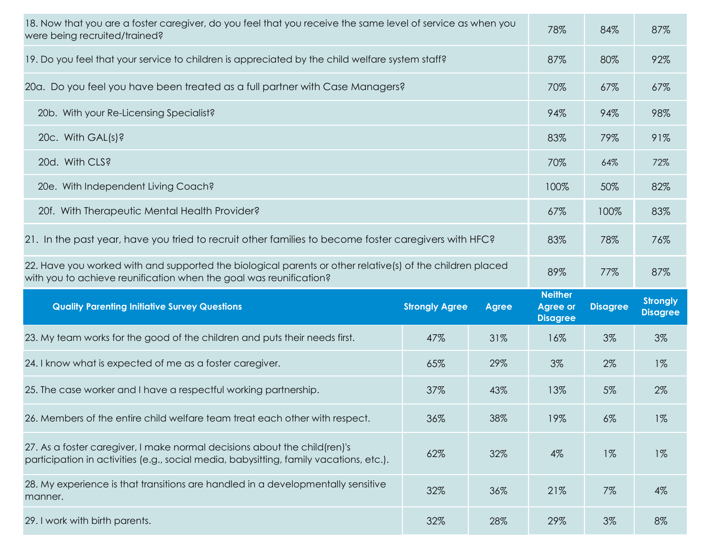| 18. Now that you are a foster caregiver, do you feel that you receive the same level of service as when you<br>were being recruited/trained?                         |                       |              | 78%                                                  | 84%             | 87%                                |
|----------------------------------------------------------------------------------------------------------------------------------------------------------------------|-----------------------|--------------|------------------------------------------------------|-----------------|------------------------------------|
| 19. Do you feel that your service to children is appreciated by the child welfare system staff?                                                                      |                       |              | 87%                                                  | 80%             | 92%                                |
| 20a. Do you feel you have been treated as a full partner with Case Managers?                                                                                         |                       |              | 70%                                                  | 67%             | 67%                                |
| 20b. With your Re-Licensing Specialist?                                                                                                                              |                       |              | 94%                                                  | 94%             | 98%                                |
| 20c. With GAL(s)?                                                                                                                                                    |                       |              | 83%                                                  | 79%             | 91%                                |
| 20d. With CLS?                                                                                                                                                       |                       |              | 70%                                                  | 64%             | 72%                                |
| 20e. With Independent Living Coach?                                                                                                                                  |                       |              | 100%                                                 | 50%             | 82%                                |
| 20f. With Therapeutic Mental Health Provider?                                                                                                                        |                       |              | 67%                                                  | 100%            | 83%                                |
| 21. In the past year, have you tried to recruit other families to become foster caregivers with HFC?                                                                 |                       |              | 83%                                                  | 78%             | 76%                                |
| 22. Have you worked with and supported the biological parents or other relative(s) of the children placed                                                            |                       |              | 89%                                                  | 77%             | 87%                                |
| with you to achieve reunification when the goal was reunification?                                                                                                   |                       |              |                                                      |                 |                                    |
| <b>Quality Parenting Initiative Survey Questions</b>                                                                                                                 | <b>Strongly Agree</b> | <b>Agree</b> | <b>Neither</b><br><b>Agree or</b><br><b>Disagree</b> | <b>Disagree</b> | <b>Strongly</b><br><b>Disagree</b> |
| 23. My team works for the good of the children and puts their needs first.                                                                                           | 47%                   | 31%          | 16%                                                  | 3%              | 3%                                 |
| 24. I know what is expected of me as a foster caregiver.                                                                                                             | 65%                   | 29%          | 3%                                                   | 2%              | $1\%$                              |
| 25. The case worker and I have a respectful working partnership.                                                                                                     | 37%                   | 43%          | 13%                                                  | 5%              | 2%                                 |
| 26. Members of the entire child welfare team treat each other with respect.                                                                                          | 36%                   | 38%          | 19%                                                  | $6\%$           | $1\%$                              |
| 27. As a foster caregiver, I make normal decisions about the child (ren)'s<br>participation in activities (e.g., social media, babysitting, family vacations, etc.). | 62%                   | 32%          | 4%                                                   | $1\%$           | $1\%$                              |
| 28. My experience is that transitions are handled in a developmentally sensitive<br>manner.                                                                          | 32%                   | 36%          | 21%                                                  | 7%              | 4%                                 |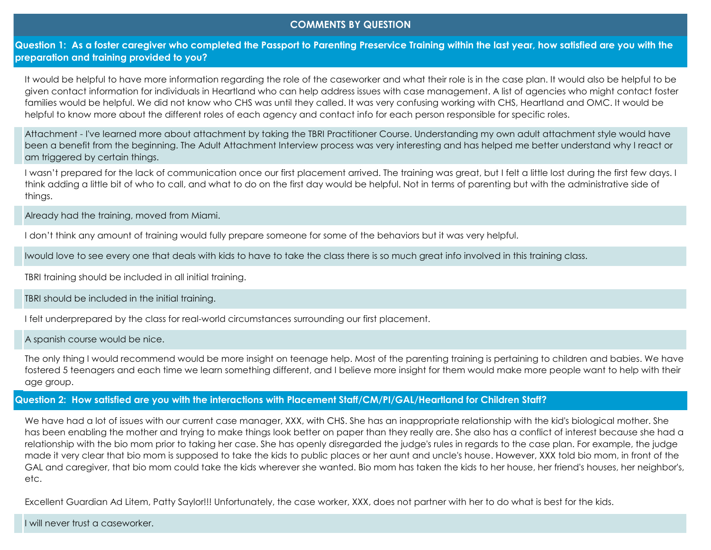## **COMMENTS BY QUESTION**

Question 1: As a foster caregiver who completed the Passport to Parenting Preservice Training within the last year, how satisfied are you with the **preparation and training provided to you?**

It would be helpful to have more information regarding the role of the caseworker and what their role is in the case plan. It would also be helpful to be given contact information for individuals in Heartland who can help address issues with case management. A list of agencies who might contact foster families would be helpful. We did not know who CHS was until they called. It was very confusing working with CHS, Heartland and OMC. It would be helpful to know more about the different roles of each agency and contact info for each person responsible for specific roles.

Attachment - I've learned more about attachment by taking the TBRI Practitioner Course. 
Understanding my own adult attachment style would have been a benefit from the beginning. 
The Adult Attachment Interview process was very interesting and has helped me better understand why I react or am triggered by certain things.

I wasn't prepared for the lack of communication once our first placement arrived. The training was great, but I felt a little lost during the first few days. I think adding a little bit of who to call, and what to do on the first day would be helpful. Not in terms of parenting but with the administrative side of things.

Already had the training, moved from Miami.

I don't think any amount of training would fully prepare someone for some of the behaviors but it was very helpful.

Iwould love to see every one that deals with kids to have to take the class there is so much great info involved in this training class.

TBRI training should be included in all initial training.

TBRI should be included in the initial training.

I felt underprepared by the class for real-world circumstances surrounding our first placement.

A spanish course would be nice.

The only thing I would recommend would be more insight on teenage help. Most of the parenting training is pertaining to children and babies. We have fostered 5 teenagers and each time we learn something different, and I believe more insight for them would make more people want to help with their age group.

# **Question 2: How satisfied are you with the interactions with Placement Staff/CM/PI/GAL/Heartland for Children Staff?**

We have had a lot of issues with our current case manager, XXX, with CHS. She has an inappropriate relationship with the kid's biological mother. She has been enabling the mother and trying to make things look better on paper than they really are. She also has a conflict of interest because she had a relationship with the bio mom prior to taking her case. She has openly disregarded the judge's rules in regards to the case plan. For example, the judge made it very clear that bio mom is supposed to take the kids to public places or her aunt and uncle's house. However, XXX told bio mom, in front of the GAL and caregiver, that bio mom could take the kids wherever she wanted. Bio mom has taken the kids to her house, her friend's houses, her neighbor's, etc.

Excellent Guardian Ad Litem, Patty Saylor!!! Unfortunately, the case worker, XXX, does not partner with her to do what is best for the kids.

I will never trust a caseworker.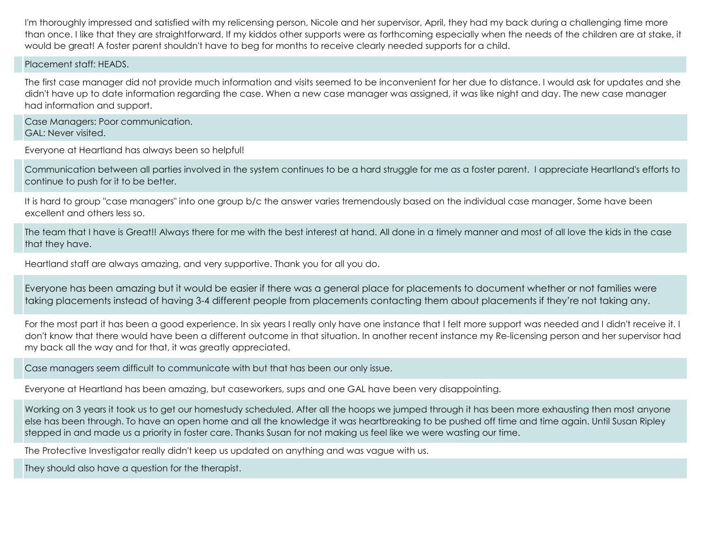I'm thoroughly impressed and satisfied with my relicensing person, Nicole and her supervisor, April, they had my back during a challenging time more than once. I like that they are straightforward. If my kiddos other supports were as forthcoming especially when the needs of the children are at stake, it would be great! A foster parent shouldn't have to beg for months to receive clearly needed supports for a child.

Placement staff: HEADS.

The first case manager did not provide much information and visits seemed to be inconvenient for her due to distance. I would ask for updates and she didn't have up to date information regarding the case. When a new case manager was assigned, it was like night and day. The new case manager had information and support.

Case Managers: Poor communication. GAL: Never visited.

Everyone at Heartland has always been so helpful!

Communication between all parties involved in the system continues to be a hard struggle for me as a foster parent. I appreciate Heartland's efforts to continue to push for it to be better.

It is hard to group "case managers" into one group b/c the answer varies tremendously based on the individual case manager. Some have been excellent and others less so.

The team that I have is Great!! Always there for me with the best interest at hand. All done in a timely manner and most of all love the kids in the case that they have.

Heartland staff are always amazing, and very supportive. Thank you for all you do.

Everyone has been amazing but it would be easier if there was a general place for placements to document whether or not families were taking placements instead of having 3-4 different people from placements contacting them about placements if they're not taking any.

For the most part it has been a good experience. In six years I really only have one instance that I felt more support was needed and I didn't receive it. I don't know that there would have been a different outcome in that situation. In another recent instance my Re-licensing person and her supervisor had my back all the way and for that, it was greatly appreciated.

Case managers seem difficult to communicate with but that has been our only issue.

Everyone at Heartland has been amazing, but caseworkers, sups and one GAL have been very disappointing.

Working on 3 years it took us to get our homestudy scheduled. After all the hoops we jumped through it has been more exhausting then most anyone else has been through. To have an open home and all the knowledge it was heartbreaking to be pushed off time and time again. Until Susan Ripley stepped in and made us a priority in foster care. Thanks Susan for not making us feel like we were wasting our time.

The Protective Investigator really didn't keep us updated on anything and was vague with us.

They should also have a question for the therapist.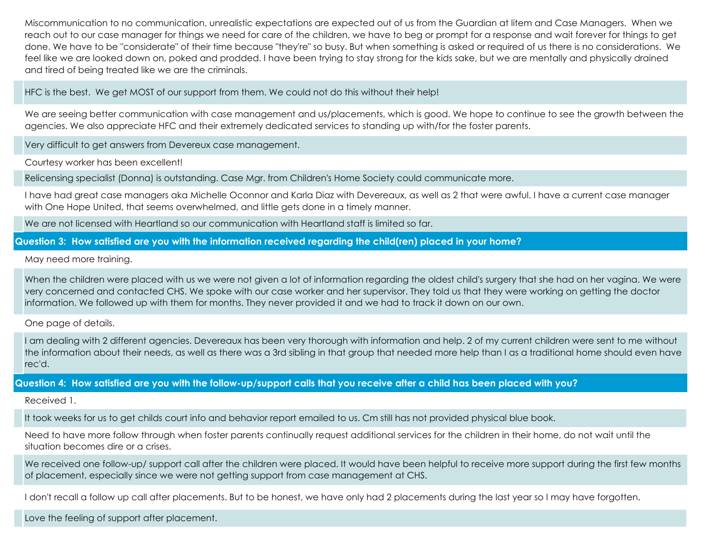Miscommunication to no communication, unrealistic expectations are expected out of us from the Guardian at litem and Case Managers. When we reach out to our case manager for things we need for care of the children, we have to beg or prompt for a response and wait forever for things to get done. We have to be "considerate" of their time because "they're" so busy. But when something is asked or required of us there is no considerations. We feel like we are looked down on, poked and prodded. I have been trying to stay strong for the kids sake, but we are mentally and physically drained and tired of being treated like we are the criminals.

HFC is the best. We get MOST of our support from them. We could not do this without their help!

We are seeing better communication with case management and us/placements, which is good. We hope to continue to see the growth between the agencies. We also appreciate HFC and their extremely dedicated services to standing up with/for the foster parents.

Very difficult to get answers from Devereux case management.

Courtesy worker has been excellent!

Relicensing specialist (Donna) is outstanding. Case Mgr. from Children's Home Society could communicate more.

I have had great case managers aka Michelle Oconnor and Karla Diaz with Devereaux, as well as 2 that were awful. I have a current case manager with One Hope United, that seems overwhelmed, and little gets done in a timely manner.

We are not licensed with Heartland so our communication with Heartland staff is limited so far.

## **Question 3: How satisfied are you with the information received regarding the child(ren) placed in your home?**

May need more training.

When the children were placed with us we were not given a lot of information regarding the oldest child's surgery that she had on her vagina. We were very concerned and contacted CHS. We spoke with our case worker and her supervisor. They told us that they were working on getting the doctor information. We followed up with them for months. They never provided it and we had to track it down on our own.

One page of details.

I am dealing with 2 different agencies. Devereaux has been very thorough with information and help. 2 of my current children were sent to me without the information about their needs, as well as there was a 3rd sibling in that group that needed more help than I as a traditional home should even have rec'd.

**Question 4: How satisfied are you with the follow-up/support calls that you receive after a child has been placed with you?**

Received 1.

It took weeks for us to get childs court info and behavior report emailed to us. Cm still has not provided physical blue book.

Need to have more follow through when foster parents continually request additional services for the children in their home, do not wait until the situation becomes dire or a crises.

We received one follow-up/ support call after the children were placed. It would have been helpful to receive more support during the first few months of placement, especially since we were not getting support from case management at CHS.

I don't recall a follow up call after placements. But to be honest, we have only had 2 placements during the last year so I may have forgotten.

Love the feeling of support after placement.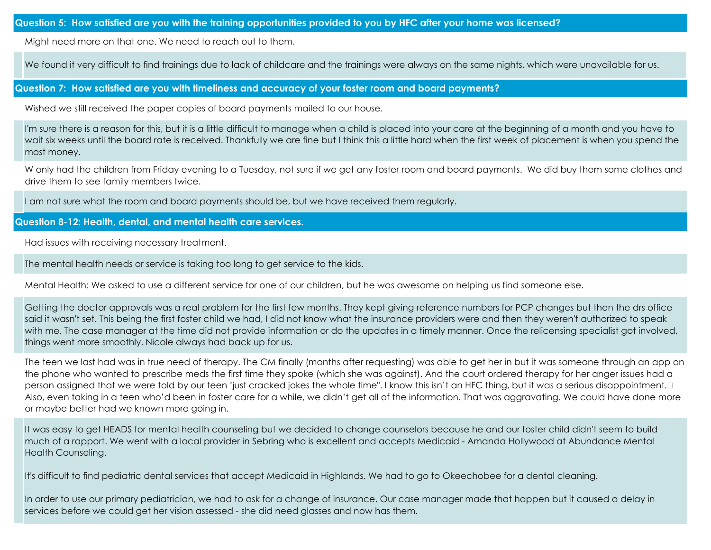Might need more on that one. We need to reach out to them.

We found it very difficult to find trainings due to lack of childcare and the trainings were always on the same nights, which were unavailable for us.

## **Question 7: How satisfied are you with timeliness and accuracy of your foster room and board payments?**

Wished we still received the paper copies of board payments mailed to our house
.

I'm sure there is a reason for this, but it is a little difficult to manage when a child is placed into your care at the beginning of a month and you have to wait six weeks until the board rate is received. Thankfully we are fine but I think this a little hard when the first week of placement is when you spend the most money.

W only had the children from Friday evening to a Tuesday, not sure if we get any foster room and board payments. We did buy them some clothes and drive them to see family members twice.

I am not sure what the room and board payments should be, but we have received them regularly.

#### **Question 8-12: Health, dental, and mental health care services.**

Had issues with receiving necessary treatment.

The mental health needs or service is taking too long to get service to the kids.

Mental Health: We asked to use a different service for one of our children, but he was awesome on helping us find someone else.

Getting the doctor approvals was a real problem for the first few months. They kept giving reference numbers for PCP changes but then the drs office said it wasn't set. This being the first foster child we had, I did not know what the insurance providers were and then they weren't authorized to speak with me. The case manager at the time did not provide information or do the updates in a timely manner. Once the relicensing specialist got involved, things went more smoothly. Nicole always had back up for us.

The teen we last had was in true need of therapy. The CM finally (months after requesting) was able to get her in but it was someone through an app on the phone who wanted to prescribe meds the first time they spoke (which she was against). And the court ordered therapy for her anger issues had a person assigned that we were told by our teen "just cracked jokes the whole time". I know this isn't an HFC thing, but it was a serious disappointment. Also, even taking in a teen who'd been in foster care for a while, we didn't get all of the information. That was aggravating. We could have done more or maybe better had we known more going in.

It was easy to get HEADS for mental health counseling but we decided to change counselors because he and our foster child didn't seem to build much of a rapport. We went with a local provider in Sebring who is excellent and accepts Medicaid - Amanda Hollywood at Abundance Mental Health Counseling.

It's difficult to find pediatric dental services that accept Medicaid in Highlands. We had to go to Okeechobee for a dental cleaning.

In order to use our primary pediatrician, we had to ask for a change of insurance. Our case manager made that happen but it caused a delay in services before we could get her vision assessed - she did need glasses and now has them.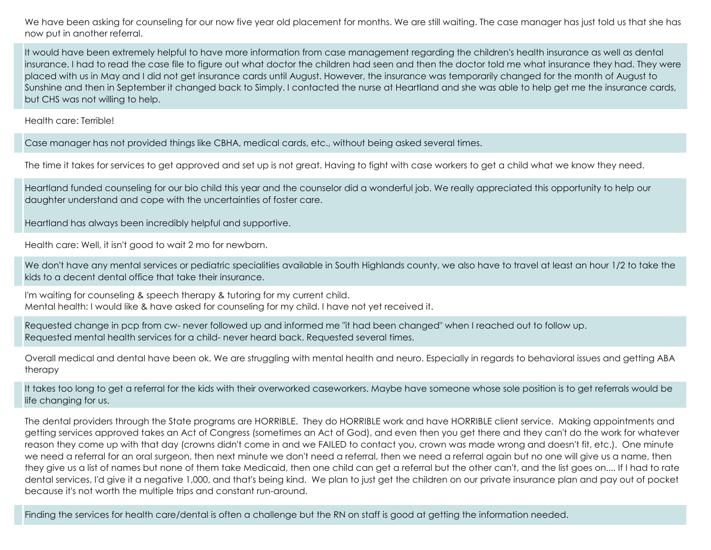We have been asking for counseling for our now five year old placement for months. We are still waiting. The case manager has just told us that she has now put in another referral.

It would have been extremely helpful to have more information from case management regarding the children's health insurance as well as dental insurance. I had to read the case file to figure out what doctor the children had seen and then the doctor told me what insurance they had. They were placed with us in May and I did not get insurance cards until August. However, the insurance was temporarily changed for the month of August to Sunshine and then in September it changed back to Simply. I contacted the nurse at Heartland and she was able to help get me the insurance cards, but CHS was not willing to help.

Health care: Terrible!

Case manager has not provided things like CBHA, medical cards, etc., without being asked several times.

The time it takes for services to get approved and set up is not great. Having to fight with case workers to get a child what we know they need.

Heartland funded counseling for our bio child this year and the counselor did a wonderful job. We really appreciated this opportunity to help our daughter understand and cope with the uncertainties of foster care.

Heartland has always been incredibly helpful and supportive.

Health care: Well, it isn't good to wait 2 mo for newborn.

We don't have any mental services or pediatric specialities available in South Highlands county, we also have to travel at least an hour 1/2 to take the kids to a decent dental office that take their insurance.

I'm waiting for counseling & speech therapy & tutoring for my current child. Mental health: I would like & have asked for counseling for my child. I have not yet received it.

Requested change in pcp from cw- never followed up and informed me "it had been changed" when I reached out to follow up. Requested mental health services for a child- never heard back. Requested several times.

Overall medical and dental have been ok. We are struggling with mental health and neuro. Especially in regards to behavioral issues and getting ABA therapy

It takes too long to get a referral for the kids with their overworked caseworkers. Maybe have someone whose sole position is to get referrals would be life changing for us.

The dental providers through the State programs are HORRIBLE. They do HORRIBLE work and have HORRIBLE client service. Making appointments and getting services approved takes an Act of Congress (sometimes an Act of God), and even then you get there and they can't do the work for whatever reason they come up with that day (crowns didn't come in and we FAILED to contact you, crown was made wrong and doesn't fit, etc.). One minute we need a referral for an oral surgeon, then next minute we don't need a referral, then we need a referral again but no one will give us a name, then they give us a list of names but none of them take Medicaid, then one child can get a referral but the other can't, and the list goes on.... If I had to rate dental services, I'd give it a negative 1,000, and that's being kind. We plan to just get the children on our private insurance plan and pay out of pocket because it's not worth the multiple trips and constant run-around.

Finding the services for health care/dental is often a challenge but the RN on staff is good at getting the information needed.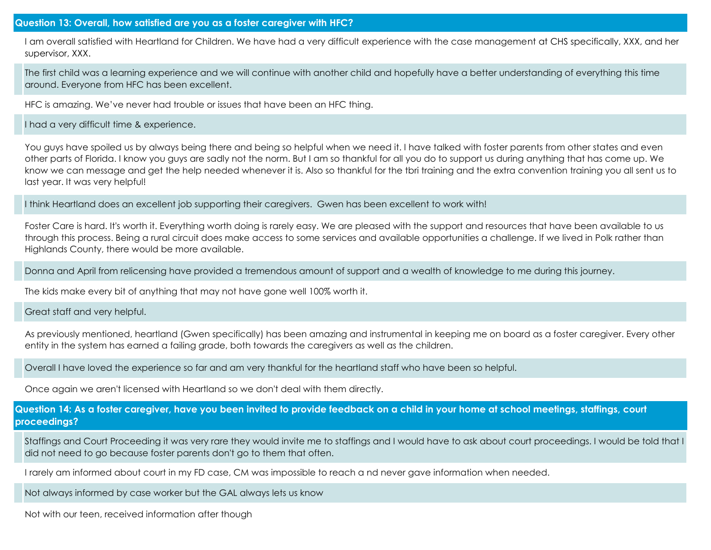## **Question 13: Overall, how satisfied are you as a foster caregiver with HFC?**

I am overall satisfied with Heartland for Children. We have had a very difficult experience with the case management at CHS specifically, XXX, and her supervisor, XXX.

The first child was a learning experience and we will continue with another child and hopefully have a better understanding of everything this time around. Everyone from HFC has been excellent.

HFC is amazing. We've never had trouble or issues that have been an HFC thing.

I had a very difficult time & experience.

You guys have spoiled us by always being there and being so helpful when we need it. I have talked with foster parents from other states and even other parts of Florida. I know you guys are sadly not the norm. But I am so thankful for all you do to support us during anything that has come up. We know we can message and get the help needed whenever it is. Also so thankful for the tbri training and the extra convention training you all sent us to last year. It was very helpful!

I think Heartland does an excellent job supporting their caregivers. Gwen has been excellent to work with!

Foster Care is hard. It's worth it. Everything worth doing is rarely easy. We are pleased with the support and resources that have been available to us through this process. Being a rural circuit does make access to some services and available opportunities a challenge. If we lived in Polk rather than Highlands County, there would be more available.

Donna and April from relicensing have provided a tremendous amount of support and a wealth of knowledge to me during this journey.

The kids make every bit of anything that may not have gone well 100% worth it.

Great staff and very helpful.

As previously mentioned, heartland (Gwen specifically) has been amazing and instrumental in keeping me on board as a foster caregiver. Every other entity in the system has earned a failing grade, both towards the caregivers as well as the children.

Overall I have loved the experience so far and am very thankful for the heartland staff who have been so helpful.

Once again we aren't licensed with Heartland so we don't deal with them directly.

**Question 14: As a foster caregiver, have you been invited to provide feedback on a child in your home at school meetings, staffings, court proceedings?**

Staffings and Court Proceeding it was very rare they would invite me to staffings and I would have to ask about court proceedings. I would be told that I did not need to go because foster parents don't go to them that often.

I rarely am informed about court in my FD case, CM was impossible to reach a nd never gave information when needed.

Not always informed by case worker but the GAL always lets us know

Not with our teen, received information after though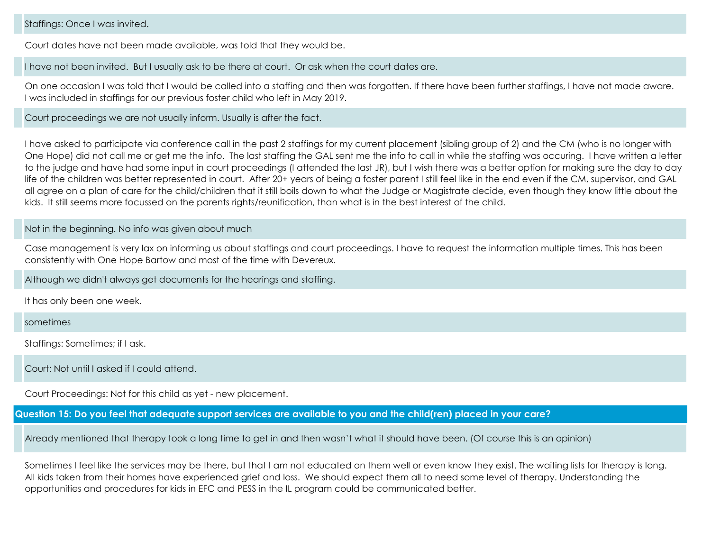## Staffings: Once I was invited.

Court dates have not been made available, was told that they would be.

I have not been invited. But I usually ask to be there at court. Or ask when the court dates are.

On one occasion I was told that I would be called into a staffing and then was forgotten. If there have been further staffings, I have not made aware. I was included in staffings for our previous foster child who left in May 2019.

Court proceedings we are not usually inform. Usually is after the fact.

I have asked to participate via conference call in the past 2 staffings for my current placement (sibling group of 2) and the CM (who is no longer with One Hope) did not call me or get me the info. The last staffing the GAL sent me the info to call in while the staffing was occuring. I have written a letter to the judge and have had some input in court proceedings (I attended the last JR), but I wish there was a better option for making sure the day to day life of the children was better represented in court. After 20+ years of being a foster parent I still feel like in the end even if the CM, supervisor, and GAL all agree on a plan of care for the child/children that it still boils down to what the Judge or Magistrate decide, even though they know little about the kids. It still seems more focussed on the parents rights/reunification, than what is in the best interest of the child.

## Not in the beginning. No info was given about much

Case management is very lax on informing us about staffings and court proceedings. I have to request the information multiple times. This has been consistently with One Hope Bartow and most of the time with Devereux.

Although we didn't always get documents for the hearings and staffing.

It has only been one week.

sometimes

Staffings: Sometimes; if I ask.

Court: Not until I asked if I could attend.

Court Proceedings: Not for this child as yet - new placement.

**Question 15: Do you feel that adequate support services are available to you and the child(ren) placed in your care?**

Already mentioned that therapy took a long time to get in and then wasn't what it should have been. (Of course this is an opinion)

Sometimes I feel like the services may be there, but that I am not educated on them well or even know they exist. The waiting lists for therapy is long. All kids taken from their homes have experienced grief and loss. We should expect them all to need some level of therapy.
 Understanding the opportunities and procedures for kids in EFC and PESS in the IL program could be communicated better.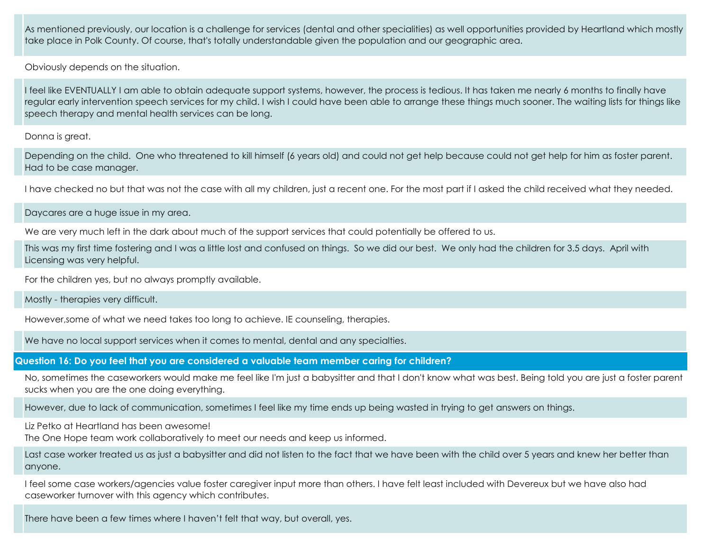As mentioned previously, our location is a challenge for services (dental and other specialities) as well opportunities provided by Heartland which mostly take place in Polk County. Of course, that's totally understandable given the population and our geographic area.

Obviously depends on the situation.

I feel like EVENTUALLY I am able to obtain adequate support systems, however, the process is tedious. It has taken me nearly 6 months to finally have regular early intervention speech services for my child. I wish I could have been able to arrange these things much sooner. The waiting lists for things like speech therapy and mental health services can be long.

Donna is great.

Depending on the child. One who threatened to kill himself (6 years old) and could not get help because could not get help for him as foster parent. Had to be case manager.

I have checked no but that was not the case with all my children, just a recent one. For the most part if I asked the child received what they needed.

Daycares are a huge issue in my area.

We are very much left in the dark about much of the support services that could potentially be offered to us.

This was my first time fostering and I was a little lost and confused on things. So we did our best. We only had the children for 3.5 days. April with Licensing was very helpful.

For the children yes, but no always promptly available.

Mostly - therapies very difficult.

However,some of what we need takes too long to achieve. IE counseling, therapies.

We have no local support services when it comes to mental, dental and any specialties.

**Question 16: Do you feel that you are considered a valuable team member caring for children?**

No, sometimes the caseworkers would make me feel like I'm just a babysitter and that I don't know what was best. Being told you are just a foster parent sucks when you are the one doing everything.

However, due to lack of communication, sometimes I feel like my time ends up being wasted in trying to get answers on things.

Liz Petko at Heartland has been awesome!

The One Hope team work collaboratively to meet our needs and keep us informed.

Last case worker treated us as just a babysitter and did not listen to the fact that we have been with the child over 5 years and knew her better than anyone.

I feel some case workers/agencies value foster caregiver input more than others. I have felt least included with Devereux but we have also had caseworker turnover with this agency which contributes.

There have been a few times where I haven't felt that way, but overall, yes.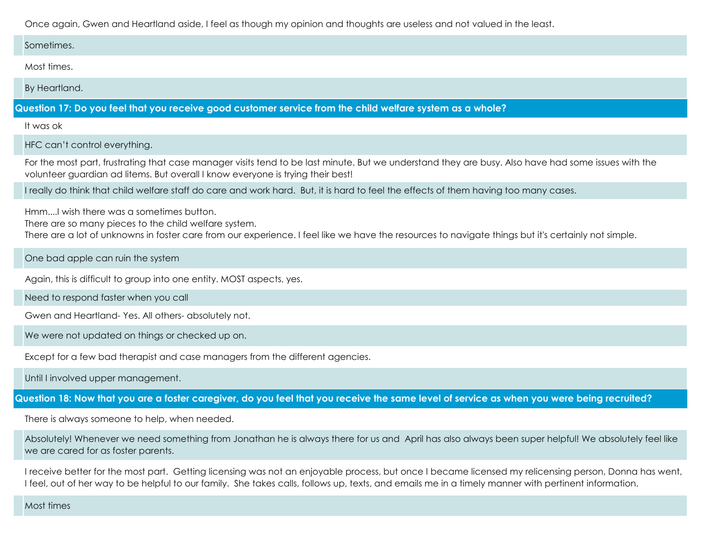Once again, Gwen and Heartland aside, I feel as though my opinion and thoughts are useless and not valued in the least.

#### Sometimes.

Most times.

By Heartland.

**Question 17: Do you feel that you receive good customer service from the child welfare system as a whole?**

It was ok

HFC can't control everything.

For the most part, frustrating that case manager visits tend to be last minute. But we understand they are busy. Also have had some issues with the volunteer guardian ad litems. But overall I know everyone is trying their best!

I really do think that child welfare staff do care and work hard. But, it is hard to feel the effects of them having too many cases.

Hmm....I wish there was a sometimes button.

There are so many pieces to the child welfare system.

There are a lot of unknowns in foster care from our experience. I feel like we have the resources to navigate things but it's certainly not simple.

One bad apple can ruin the system

Again, this is difficult to group into one entity. MOST aspects, yes.

Need to respond faster when you call

Gwen and Heartland- Yes. All others- absolutely not.

We were not updated on things or checked up on.

Except for a few bad therapist and case managers from the different agencies.

Until I involved upper management.

**Question 18: Now that you are a foster caregiver, do you feel that you receive the same level of service as when you were being recruited?**

There is always someone to help, when needed.

Absolutely! Whenever we need something from Jonathan he is always there for us and April has also always been super helpful! We absolutely feel like we are cared for as foster parents.

I receive better for the most part. Getting licensing was not an enjoyable process, but once I became licensed my relicensing person, Donna has went, I feel, out of her way to be helpful to our family. She takes calls, follows up, texts, and emails me in a timely manner with pertinent information.

Most times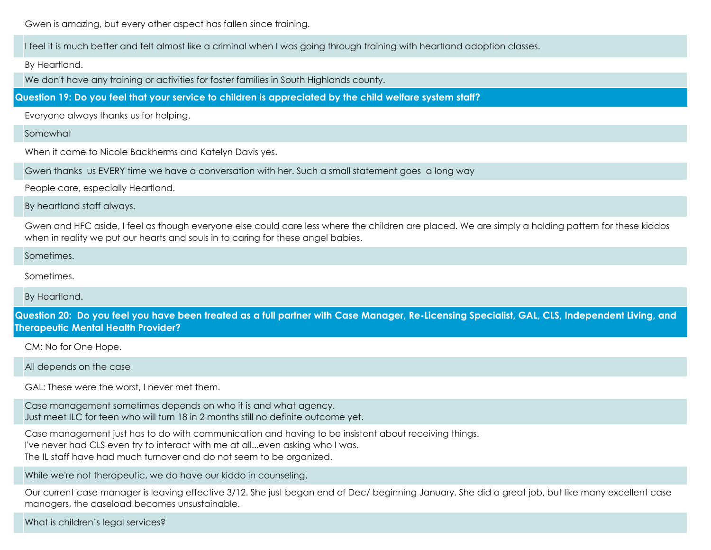Gwen is amazing, but every other aspect has fallen since training.

I feel it is much better and felt almost like a criminal when I was going through training with heartland adoption classes.

By Heartland.

We don't have any training or activities for foster families in South Highlands county.

**Question 19: Do you feel that your service to children is appreciated by the child welfare system staff?**

Everyone always thanks us for helping.

Somewhat

When it came to Nicole Backherms and Katelyn Davis yes.

Gwen thanks us EVERY time we have a conversation with her. Such a small statement goes a long way

People care, especially Heartland.

By heartland staff always.

Gwen and HFC aside, I feel as though everyone else could care less where the children are placed. We are simply a holding pattern for these kiddos when in reality we put our hearts and souls in to caring for these angel babies.

Sometimes.

Sometimes.

By Heartland.

**Question 20: Do you feel you have been treated as a full partner with Case Manager, Re-Licensing Specialist, GAL, CLS, Independent Living, and Therapeutic Mental Health Provider?**

CM: No for One Hope.

All depends on the case

GAL: These were the worst, I never met them.

Case management sometimes depends on who it is and what agency
. Just meet ILC for teen who will turn 18 in 2 months still no definite outcome yet.

Case management just has to do with communication and having to be insistent about receiving things.

I've never had CLS even try to interact with me at all...even asking who I was.

The IL staff have had much turnover and do not seem to be organized.

While we're not therapeutic, we do have our kiddo in counseling.

Our current case manager is leaving effective 3/12. She just began end of Dec/ beginning January. She did a great job, but like many excellent case managers, the caseload becomes unsustainable.

What is children's legal services?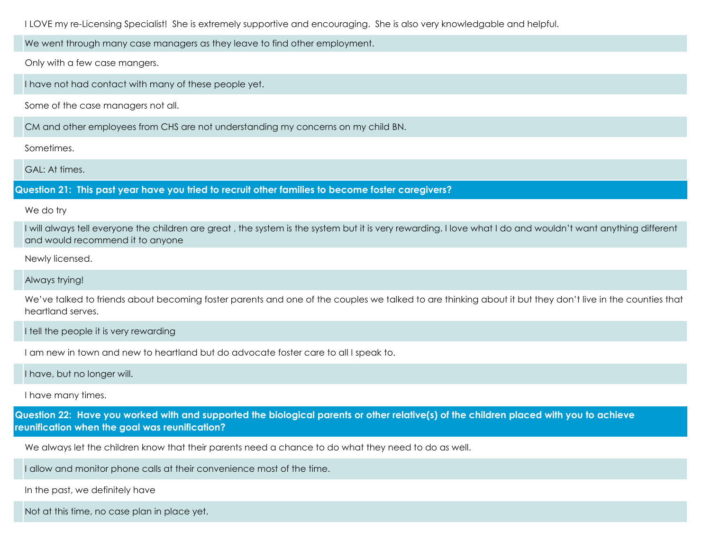I LOVE my re-Licensing Specialist! She is extremely supportive and encouraging. She is also very knowledgable and helpful.

We went through many case managers as they leave to find other employment.

Only with a few case mangers.

I have not had contact with many of these people yet.

Some of the case managers not all.

CM and other employees from CHS are not understanding my concerns on my child BN.

Sometimes.

GAL: At times.

**Question 21: This past year have you tried to recruit other families to become foster caregivers?**

We do try

I will always tell everyone the children are great , the system is the system but it is very rewarding. I love what I do and wouldn't want anything different and would recommend it to anyone

Newly licensed.

Always trying!

We've talked to friends about becoming foster parents and one of the couples we talked to are thinking about it but they don't live in the counties that heartland serves.

I tell the people it is very rewarding

I am new in town and new to heartland but do advocate foster care to all I speak to.

I have, but no longer will.

I have many times.

**Question 22: Have you worked with and supported the biological parents or other relative(s) of the children placed with you to achieve reunification when the goal was reunification?**

We always let the children know that their parents need a chance to do what they need to do as well.

I allow and monitor phone calls at their convenience most of the time.

In the past, we definitely have

Not at this time, no case plan in place yet.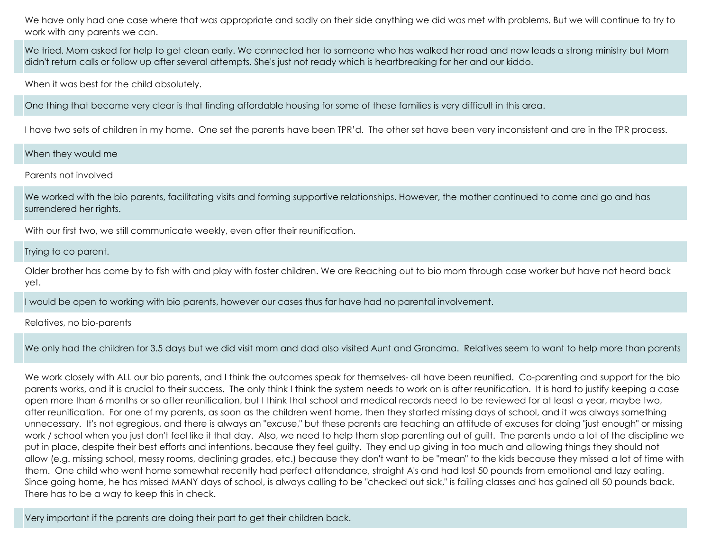We have only had one case where that was appropriate and sadly on their side anything we did was met with problems. But we will continue to try to work with any parents we can.

We tried. 
Mom asked for help to get clean early. We connected her to someone who has walked her road and now leads a strong ministry but Mom didn't return calls or follow up after several attempts. She's just not ready which is heartbreaking for her and our kiddo.

When it was best for the child absolutely.

One thing that became very clear is that finding affordable housing for some of these families is very difficult in this area.

I have two sets of children in my home. One set the parents have been TPR'd. The other set have been very inconsistent and are in the TPR process.

## When they would me

Parents not involved

We worked with the bio parents, facilitating visits and forming supportive relationships. However, the mother continued to come and go and has surrendered her rights.

With our first two, we still communicate weekly, even after their reunification.

#### Trying to co parent.

Older brother has come by to fish with and play with foster children. We are Reaching out to bio mom through case worker but have not heard back yet.

I would be open to working with bio parents, however our cases thus far have had no parental involvement.

#### Relatives, no bio-parents

We only had the children for 3.5 days but we did visit mom and dad also visited Aunt and Grandma. Relatives seem to want to help more than parents

We work closely with ALL our bio parents, and I think the outcomes speak for themselves- all have been reunified. Co-parenting and support for the bio parents works, and it is crucial to their success. The only think I think the system needs to work on is after reunification. It is hard to justify keeping a case open more than 6 months or so after reunification, but I think that school and medical records need to be reviewed for at least a year, maybe two, after reunification. For one of my parents, as soon as the children went home, then they started missing days of school, and it was always something unnecessary. It's not egregious, and there is always an "excuse," but these parents are teaching an attitude of excuses for doing "just enough" or missing work / school when you just don't feel like it that day. Also, we need to help them stop parenting out of guilt. The parents undo a lot of the discipline we put in place, despite their best efforts and intentions, because they feel guilty. They end up giving in too much and allowing things they should not allow (e.g. missing school, messy rooms, declining grades, etc.) because they don't want to be "mean" to the kids because they missed a lot of time with them. One child who went home somewhat recently had perfect attendance, straight A's and had lost 50 pounds from emotional and lazy eating. Since going home, he has missed MANY days of school, is always calling to be "checked out sick," is failing classes and has gained all 50 pounds back. There has to be a way to keep this in check.

Very important if the parents are doing their part to get their children back.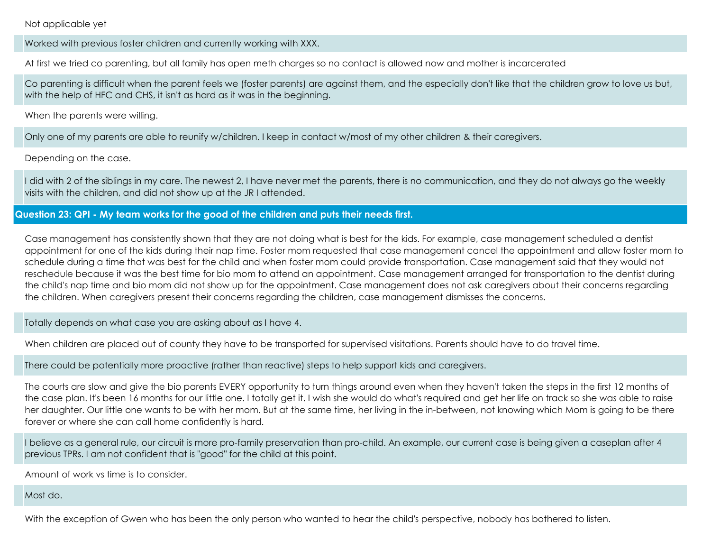Not applicable yet

Worked with previous foster children and currently working with XXX.

At first we tried co parenting, but all family has open meth charges so no contact is allowed now and mother is incarcerated

Co parenting is difficult when the parent feels we (foster parents) are against them, and the especially don't like that the children grow to love us but, with the help of HFC and CHS, it isn't as hard as it was in the beginning.

When the parents were willing.

Only one of my parents are able to reunify w/children. I keep in contact w/most of my other children & their caregivers.

Depending on the case.

I did with 2 of the siblings in my care. The newest 2, I have never met the parents, there is no communication, and they do not always go the weekly visits with the children, and did not show up at the JR I attended.

# **Question 23: QPI - My team works for the good of the children and puts their needs first.**

Case management has consistently shown that they are not doing what is best for the kids. For example, case management scheduled a dentist appointment for one of the kids during their nap time. Foster mom requested that case management cancel the appointment and allow foster mom to schedule during a time that was best for the child and when foster mom could provide transportation. Case management said that they would not reschedule because it was the best time for bio mom to attend an appointment. Case management arranged for transportation to the dentist during the child's nap time and bio mom did not show up for the appointment. Case management does not ask caregivers about their concerns regarding the children. When caregivers present their concerns regarding the children, case management dismisses the concerns.

Totally depends on what case you are asking about as I have 4.

When children are placed out of county they have to be transported for supervised visitations. Parents should have to do travel time.

There could be potentially more proactive (rather than reactive) steps to help support kids and caregivers.

The courts are slow and give the bio parents EVERY opportunity to turn things around even when they haven't taken the steps in the first 12 months of the case plan. It's been 16 months for our little one. I totally get it. I wish she would do what's required and get her life on track so she was able to raise her daughter. Our little one wants to be with her mom. But at the same time, her living in the in-between, not knowing which Mom is going to be there forever or where she can call home confidently is hard.

I believe as a general rule, our circuit is more pro-family preservation than pro-child. An example, our current case is being given a caseplan after 4 previous TPRs. I am not confident that is "good" for the child at this point.

Amount of work vs time is to consider.

Most do.

With the exception of Gwen who has been the only person who wanted to hear the child's perspective, nobody has bothered to listen.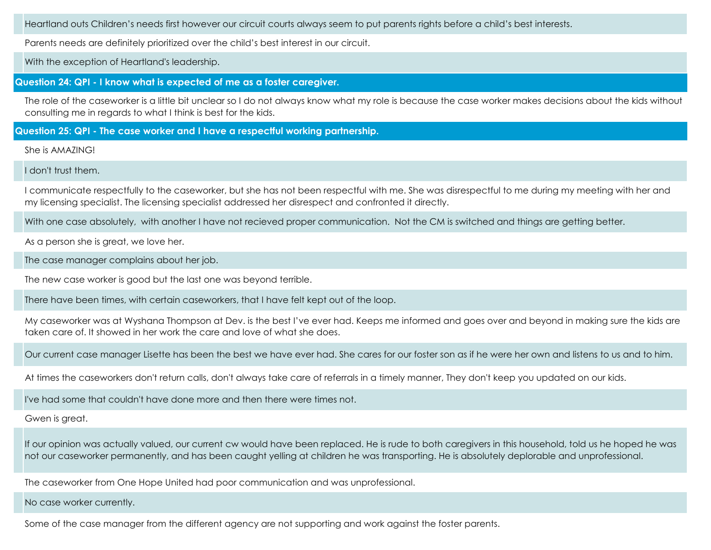Heartland outs Children's needs first however our circuit courts always seem to put parents rights before a child's best interests.

Parents needs are definitely prioritized over the child's best interest in our circuit.

With the exception of Heartland's leadership.

**Question 24: QPI - I know what is expected of me as a foster caregiver.**

The role of the caseworker is a little bit unclear so I do not always know what my role is because the case worker makes decisions about the kids without consulting me in regards to what I think is best for the kids.

**Question 25: QPI - The case worker and I have a respectful working partnership.**

She is AMAZING!

I don't trust them.

I communicate respectfully to the caseworker, but she has not been respectful with me. She was disrespectful to me during my meeting with her and my licensing specialist. The licensing specialist addressed her disrespect and confronted it directly.

With one case absolutely, with another I have not recieved proper communication. Not the CM is switched and things are getting better.

As a person she is great, we love her.

The case manager complains about her job.

The new case worker is good but the last one was beyond terrible.

There have been times, with certain caseworkers, that I have felt kept out of the loop.

My caseworker was at Wyshana Thompson at Dev. is the best I've ever had. Keeps me informed and goes over and beyond in making sure the kids are taken care of. It showed in her work the care and love of what she does.

Our current case manager Lisette has been the best we have ever had. She cares for our foster son as if he were her own and listens to us and to him.

At times the caseworkers don't return calls, don't always take care of referrals in a timely manner, They don't keep you updated on our kids.

I've had some that couldn't have done more and then there were times not.

Gwen is great.

If our opinion was actually valued, our current cw would have been replaced. He is rude to both caregivers in this household, told us he hoped he was not our caseworker permanently, and has been caught yelling at children he was transporting. He is absolutely deplorable and unprofessional.

The caseworker from One Hope United had poor communication and was unprofessional.

No case worker currently.

Some of the case manager from the different agency are not supporting and work against the foster parents.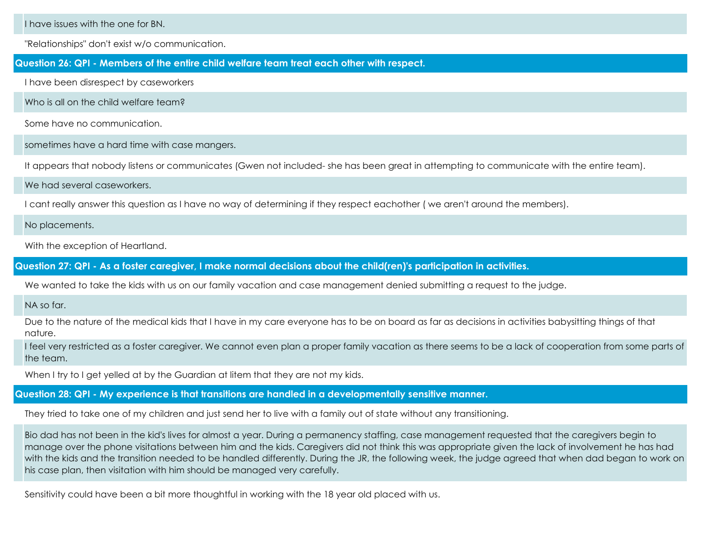I have issues with the one for BN.

"Relationships" don't exist w/o communication.

#### **Question 26: QPI - Members of the entire child welfare team treat each other with respect.**

I have been disrespect by caseworkers

Who is all on the child welfare team?

Some have no communication.

sometimes have a hard time with case mangers.

It appears that nobody listens or communicates (Gwen not included- she has been great in attempting to communicate with the entire team).

#### We had several caseworkers.

I cant really answer this question as I have no way of determining if they respect eachother ( we aren't around the members).

No placements.

With the exception of Heartland.

**Question 27: QPI - As a foster caregiver, I make normal decisions about the child(ren)'s participation in activities.**

We wanted to take the kids with us on our family vacation and case management denied submitting a request to the judge.

NA so far.

Due to the nature of the medical kids that I have in my care everyone has to be on board as far as decisions in activities babysitting things of that nature.

I feel very restricted as a foster caregiver. We cannot even plan a proper family vacation as there seems to be a lack of cooperation from some parts of the team.

When I try to I get yelled at by the Guardian at litem that they are not my kids.

## **Question 28: QPI - My experience is that transitions are handled in a developmentally sensitive manner.**

They tried to take one of my children and just send her to live with a family out of state without any transitioning.

Bio dad has not been in the kid's lives for almost a year. During a permanency staffing, case management requested that the caregivers begin to manage over the phone visitations between him and the kids. Caregivers did not think this was appropriate given the lack of involvement he has had with the kids and the transition needed to be handled differently. During the JR, the following week, the judge agreed that when dad began to work on his case plan, then visitation with him should be managed very carefully.

Sensitivity could have been a bit more thoughtful in working with the 18 year old placed with us.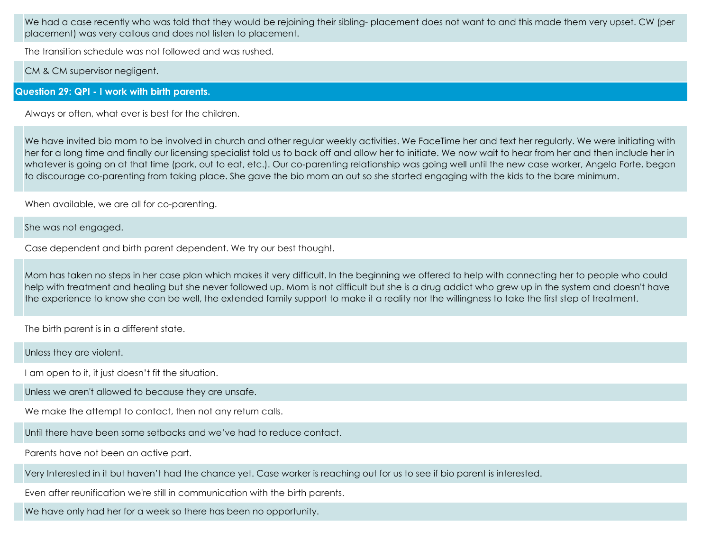We had a case recently who was told that they would be rejoining their sibling-placement does not want to and this made them very upset. CW (per placement) was very callous and does not listen to placement.

The transition schedule was not followed and was rushed.

CM & CM supervisor negligent.

## **Question 29: QPI - I work with birth parents.**

Always or often, what ever is best for the children.

We have invited bio mom to be involved in church and other regular weekly activities. We FaceTime her and text her regularly. We were initiating with her for a long time and finally our licensing specialist told us to back off and allow her to initiate. We now wait to hear from her and then include her in whatever is going on at that time (park, out to eat, etc.). Our co-parenting relationship was going well until the new case worker, Angela Forte, began to discourage co-parenting from taking place. She gave the bio mom an out so she started engaging with the kids to the bare minimum.

When available, we are all for co-parenting.

She was not engaged.

Case dependent and birth parent dependent. We try our best though!.

Mom has taken no steps in her case plan which makes it very difficult. In the beginning we offered to help with connecting her to people who could help with treatment and healing but she never followed up. Mom is not difficult but she is a drug addict who grew up in the system and doesn't have the experience to know she can be well, the extended family support to make it a reality nor the willingness to take the first step of treatment.

The birth parent is in a different state.

Unless they are violent.

I am open to it, it just doesn't fit the situation.

Unless we aren't allowed to because they are unsafe.

We make the attempt to contact, then not any return calls.

Until there have been some setbacks and we've had to reduce contact.

Parents have not been an active part.

Very Interested in it but haven't had the chance yet. Case worker is reaching out for us to see if bio parent is interested.

Even after reunification we're still in communication with the birth parents.

We have only had her for a week so there has been no opportunity.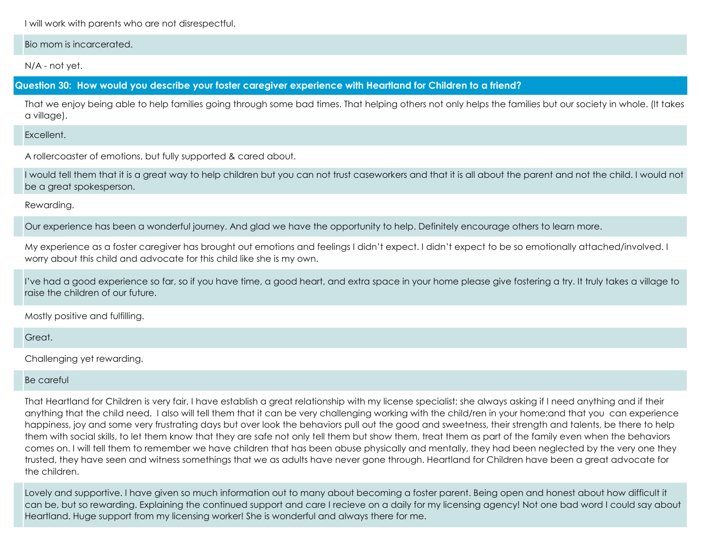I will work with parents who are not disrespectful.

Bio mom is incarcerated.

N/A - not yet.

**Question 30: How would you describe your foster caregiver experience with Heartland for Children to a friend?**

That we enjoy being able to help families going through some bad times. That helping others not only helps the families but our society in whole. (It takes a village).

**Excellent** 

A rollercoaster of emotions, but fully supported & cared about.

I would tell them that it is a great way to help children but you can not trust caseworkers and that it is all about the parent and not the child. I would not be a great spokesperson.

Rewarding.

Our experience has been a wonderful journey. And glad we have the opportunity to help. Definitely encourage others to learn more.

My experience as a foster caregiver has brought out emotions and feelings I didn't expect. I didn't expect to be so emotionally attached/involved. I worry about this child and advocate for this child like she is my own.

I've had a good experience so far, so if you have time, a good heart, and extra space in your home please give fostering a try. It truly takes a village to raise the children of our future.

Mostly positive and fulfilling.

Great.

Challenging yet rewarding.

## Be careful

That Heartland for Children is very fair, I have establish a great relationship with my license specialist; she always asking if I need anything and if their anything that the child need. I also will tell them that it can be very challenging working with the child/ren in your home;and that you can experience happiness, joy and some very frustrating days but over look the behaviors pull out the good and sweetness, their strength and talents, be there to help them with social skills, to let them know that they are safe not only tell them but show them, treat them as part of the family even when the behaviors comes on. I will tell them to remember we have children that has been abuse physically and mentally, they had been neglected by the very one they trusted, they have seen and witness somethings that we as adults have never gone through. Heartland for Children have been a great advocate for the children.

Lovely and supportive. I have given so much information out to many about becoming a foster parent. Being open and honest about how difficult it can be, but so rewarding. Explaining the continued support and care I recieve on a daily for my licensing agency! Not one bad word I could say about Heartland. Huge support from my licensing worker! She is wonderful and always there for me.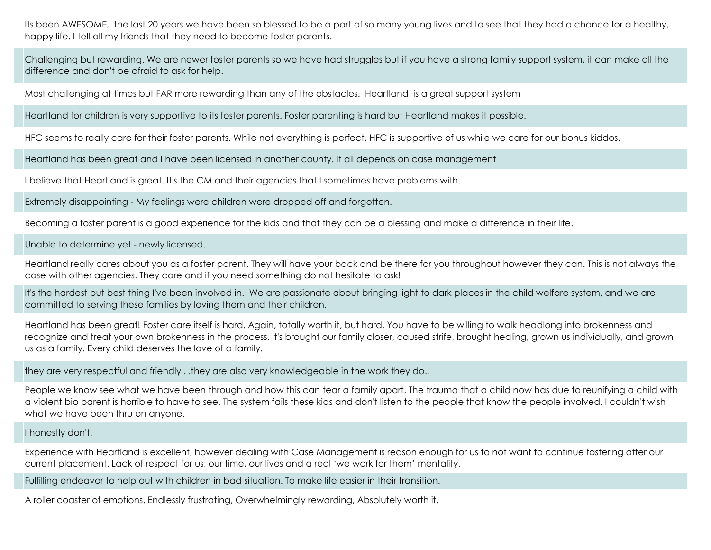Its been AWESOME, the last 20 years we have been so blessed to be a part of so many young lives and to see that they had a chance for a healthy, happy life. I tell all my friends that they need to become foster parents.

Challenging but rewarding. We are newer foster parents so we have had struggles but if you have a strong family support system, it can make all the difference and don't be afraid to ask for help.

Most challenging at times but FAR more rewarding than any of the obstacles. Heartland is a great support system

Heartland for children is very supportive to its foster parents. Foster parenting is hard but Heartland makes it possible.

HFC seems to really care for their foster parents. While not everything is perfect, HFC is supportive of us while we care for our bonus kiddos.

Heartland has been great and I have been licensed in another county. It all depends on case management

I believe that Heartland is great. It's the CM and their agencies that I sometimes have problems with.

Extremely disappointing - My feelings were children were dropped off and forgotten.

Becoming a foster parent is a good experience for the kids and that they can be a blessing and make a difference in their life.

Unable to determine yet - newly licensed.

Heartland really cares about you as a foster parent. They will have your back and be there for you throughout however they can. This is not always the case with other agencies. They care and if you need something do not hesitate to ask!

It's the hardest but best thing I've been involved in. We are passionate about bringing light to dark places in the child welfare system, and we are committed to serving these families by loving them and their children.

Heartland has been great!
 Foster care itself is hard. Again, totally worth it, but hard. 
You have to be willing to walk headlong into brokenness and recognize and treat your own brokenness in the process. It's brought our family closer, caused strife, brought healing, grown us individually, and grown us as a family. 
Every child deserves the love of a family.

they are very respectful and friendly . .they are also very knowledgeable in the work they do..

People we know see what we have been through and how this can tear a family apart. The trauma that a child now has due to reunifying a child with a violent bio parent is horrible to have to see. The system fails these kids and don't listen to the people that know the people involved. I couldn't wish what we have been thru on anyone.

#### I honestly don't.

Experience with Heartland is excellent, however dealing with Case Management is reason enough for us to not want to continue fostering after our current placement. Lack of respect for us, our time, our lives and a real 'we work for them' mentality.

Fulfilling endeavor to help out with children in bad situation. To make life easier in their transition.

A roller coaster of emotions. Endlessly frustrating, Overwhelmingly rewarding, Absolutely worth it.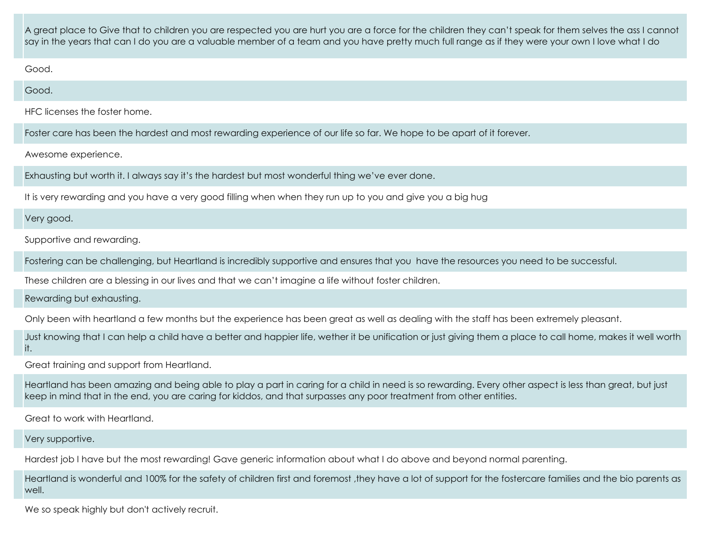A great place to Give that to children you are respected you are hurt you are a force for the children they can't speak for them selves the ass I cannot say in the years that can I do you are a valuable member of a team and you have pretty much full range as if they were your own I love what I do

Good.

Good.

HFC licenses the foster home.

Foster care has been the hardest and most rewarding experience of our life so far. We hope to be apart of it forever.

Awesome experience.

Exhausting but worth it. I always say it's the hardest but most wonderful thing we've ever done.

It is very rewarding and you have a very good filling when when they run up to you and give you a big hug

Very good.

Supportive and rewarding.

Fostering can be challenging, but Heartland is incredibly supportive and ensures that you have the resources you need to be successful.

These children are a blessing in our lives and that we can't imagine a life without foster children.

Rewarding but exhausting.

Only been with heartland a few months but the experience has been great as well as dealing with the staff has been extremely pleasant.

Just knowing that I can help a child have a better and happier life, wether it be unification or just giving them a place to call home, makes it well worth it.

Great training and support from Heartland.

Heartland has been amazing and being able to play a part in caring for a child in need is so rewarding. Every other aspect is less than great, but just keep in mind that in the end, you are caring for kiddos, and that surpasses any poor treatment from other entities.

Great to work with Heartland.

Very supportive.

Hardest job I have but the most rewarding! Gave generic information about what I do above and beyond normal parenting.

Heartland is wonderful and 100% for the safety of children first and foremost ,they have a lot of support for the fostercare families and the bio parents as well.

We so speak highly but don't actively recruit.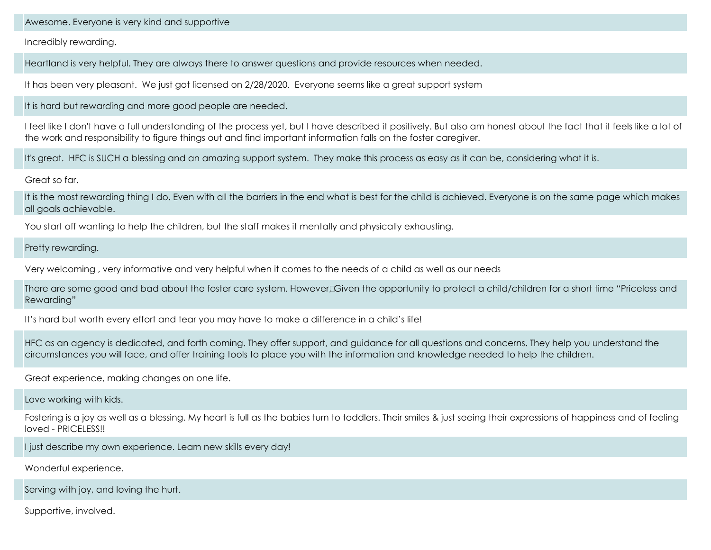Awesome. Everyone is very kind and supportive

Incredibly rewarding.

Heartland is very helpful. They are always there to answer questions and provide resources when needed.

It has been very pleasant. We just got licensed on 2/28/2020. Everyone seems like a great support system

It is hard but rewarding and more good people are needed.

I feel like I don't have a full understanding of the process yet, but I have described it positively. But also am honest about the fact that it feels like a lot of the work and responsibility to figure things out and find important information falls on the foster caregiver.

It's great. HFC is SUCH a blessing and an amazing support system. They make this process as easy as it can be, considering what it is.

Great so far.

It is the most rewarding thing I do. Even with all the barriers in the end what is best for the child is achieved. Everyone is on the same page which makes all goals achievable.

You start off wanting to help the children, but the staff makes it mentally and physically exhausting.

Pretty rewarding.

Very welcoming , very informative and very helpful when it comes to the needs of a child as well as our needs

There are some good and bad about the foster care system. However Civen the opportunity to protect a child/children for a short time "Priceless and Rewarding"

It's hard but worth every effort and tear you may have to make a difference in a child's life!

HFC as an agency is dedicated, and forth coming. They offer support, and guidance for all questions and concerns. They help you understand the circumstances you will face, and offer training tools to place you with the information and knowledge needed to help the children.

Great experience, making changes on one life.

Love working with kids.

Fostering is a joy as well as a blessing. My heart is full as the babies turn to toddlers. Their smiles & just seeing their expressions of happiness and of feeling loved - PRICELESS!!

I just describe my own experience. Learn new skills every day!

Wonderful experience.

Serving with joy, and loving the hurt.

Supportive, involved.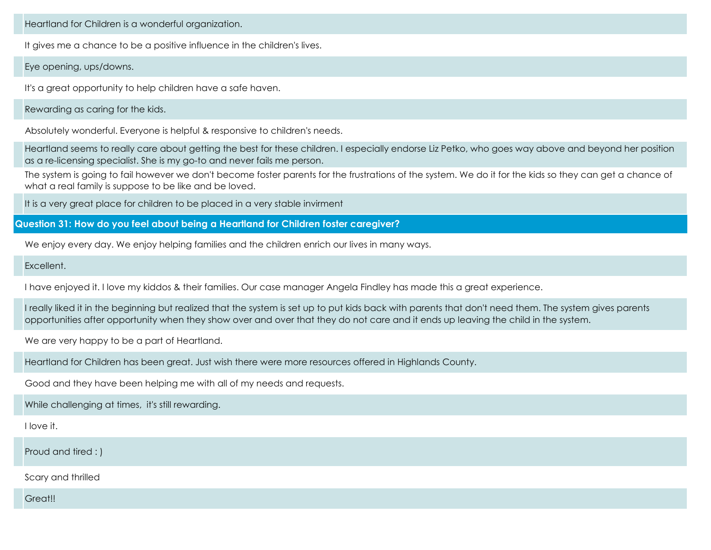Heartland for Children is a wonderful organization.

It gives me a chance to be a positive influence in the children's lives.

Eye opening, ups/downs.

It's a great opportunity to help children have a safe haven.

Rewarding as caring for the kids.

Absolutely wonderful. Everyone is helpful & responsive to children's needs.

Heartland seems to really care about getting the best for these children. I especially endorse Liz Petko, who goes way above and beyond her position as a re-licensing specialist. She is my go-to and never fails me person.

The system is going to fail however we don't become foster parents for the frustrations of the system. We do it for the kids so they can get a chance of what a real family is suppose to be like and be loved.

It is a very great place for children to be placed in a very stable invirment

**Question 31: How do you feel about being a Heartland for Children foster caregiver?**

We enjoy every day. We enjoy helping families and the children enrich our lives in many ways.

**Excellent** 

I have enjoyed it. I love my kiddos & their families. Our case manager Angela Findley has made this a great experience.

I really liked it in the beginning but realized that the system is set up to put kids back with parents that don't need them. The system gives parents opportunities after opportunity when they show over and over that they do not care and it ends up leaving the child in the system.

We are very happy to be a part of Heartland.

Heartland for Children has been great. Just wish there were more resources offered in Highlands County.

Good and they have been helping me with all of my needs and requests.

While challenging at times, it's still rewarding.

I love it.

Proud and tired : )

Scary and thrilled

Great!!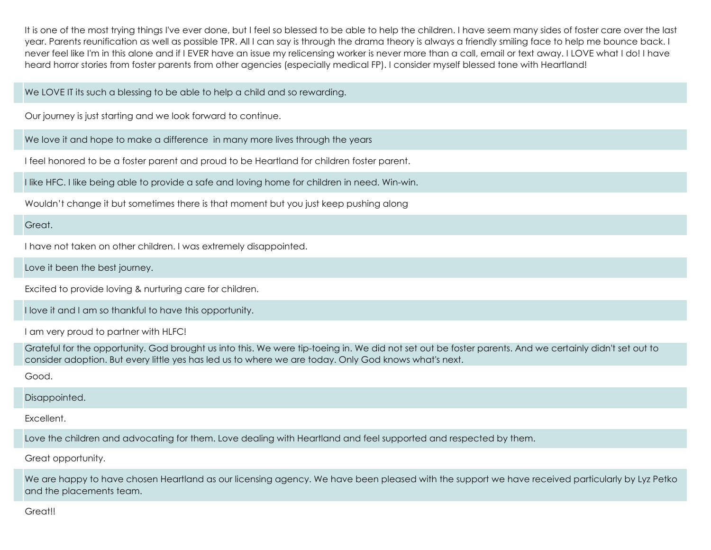It is one of the most trying things I've ever done, but I feel so blessed to be able to help the children. I have seem many sides of foster care over the last year. Parents reunification as well as possible TPR. All I can say is through the drama theory is always a friendly smiling face to help me bounce back. I never feel like I'm in this alone and if I EVER have an issue my relicensing worker is never more than a call, email or text away. I LOVE what I do! I have heard horror stories from foster parents from other agencies (especially medical FP). I consider myself blessed tone with Heartland!

## We LOVE IT its such a blessing to be able to help a child and so rewarding.

Our journey is just starting and we look forward to continue.

We love it and hope to make a difference in many more lives through the years

I feel honored to be a foster parent and proud to be Heartland for children foster parent.

I like HFC. I like being able to provide a safe and loving home for children in need. Win-win.

Wouldn't change it but sometimes there is that moment but you just keep pushing along

## Great.

I have not taken on other children. I was extremely disappointed.

Love it been the best journey.

Excited to provide loving & nurturing care for children.

I love it and I am so thankful to have this opportunity.

I am very proud to partner with HLFC!

Grateful for the opportunity. God brought us into this. We were tip-toeing in. We did not set out be foster parents. And we certainly didn't set out to consider adoption. But every little yes has led us to where we are today. Only God knows what's next.

Good.

# Disappointed.

Excellent.

Love the children and advocating for them. Love dealing with Heartland and feel supported and respected by them.

Great opportunity.

We are happy to have chosen Heartland as our licensing agency. We have been pleased with the support we have received particularly by Lyz Petko and the placements team.

Greatll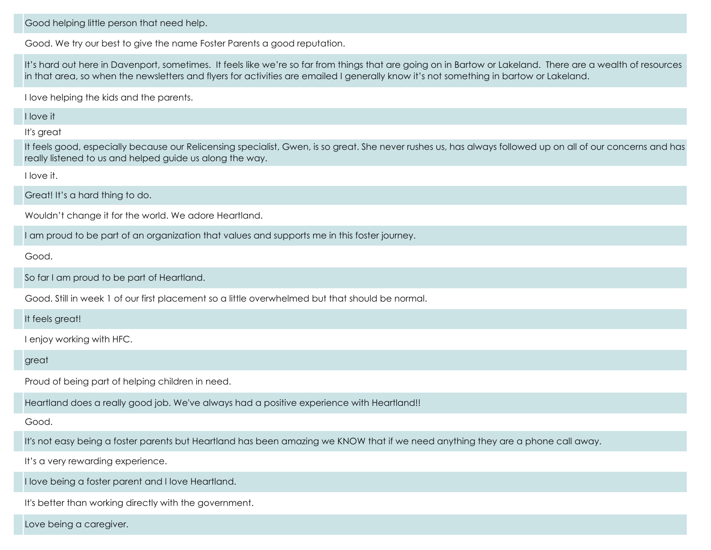Good helping little person that need help.

Good. We try our best to give the name Foster Parents a good reputation.

It's hard out here in Davenport, sometimes. It feels like we're so far from things that are going on in Bartow or Lakeland. There are a wealth of resources in that area, so when the newsletters and flyers for activities are emailed I generally know it's not something in bartow or Lakeland.

I love helping the kids and the parents.

I love it

It's great

It feels good, especially because our Relicensing specialist, Gwen, is so great. She never rushes us, has always followed up on all of our concerns and has really listened to us and helped guide us along the way.

I love it.

Great! It's a hard thing to do.

Wouldn't change it for the world. We adore Heartland.

I am proud to be part of an organization that values and supports me in this foster journey.

Good.

So far I am proud to be part of Heartland.

Good. Still in week 1 of our first placement so a little overwhelmed but that should be normal.

## It feels great!

I enjoy working with HFC.

great

Proud of being part of helping children in need.

Heartland does a really good job. We've always had a positive experience with Heartland!!

Good.

It's not easy being a foster parents but Heartland has been amazing we KNOW that if we need anything they are a phone call away.

It's a very rewarding experience.

I love being a foster parent and I love Heartland.

It's better than working directly with the government.

Love being a caregiver.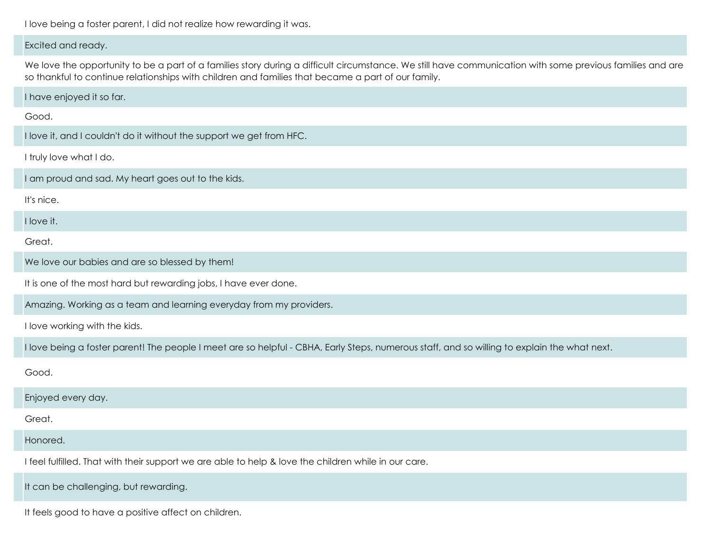I love being a foster parent, I did not realize how rewarding it was.

#### Excited and ready.

We love the opportunity to be a part of a families story during a difficult circumstance. We still have communication with some previous families and are so thankful to continue relationships with children and families that became a part of our family.

I have enjoyed it so far.

Good.

I love it, and I couldn't do it without the support we get from HFC.

I truly love what I do.

I am proud and sad. My heart goes out to the kids.

It's nice.

I love it.

Great.

We love our babies and are so blessed by them!

It is one of the most hard but rewarding jobs, I have ever done.

Amazing. Working as a team and learning everyday from my providers.

I love working with the kids.

I love being a foster parent! The people I meet are so helpful - CBHA, Early Steps, numerous staff, and so willing to explain the what next.

Good.

Enjoyed every day.

Great.

Honored.

I feel fulfilled. That with their support we are able to help & love the children while in our care.

It can be challenging, but rewarding.

It feels good to have a positive affect on children.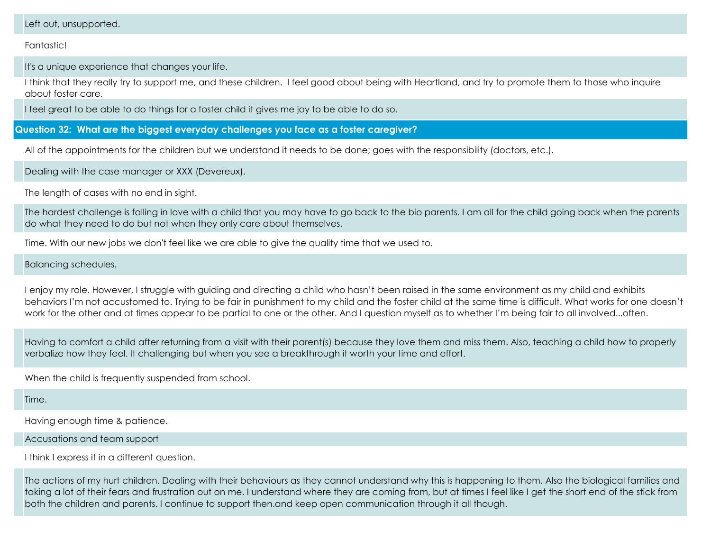#### Left out, unsupported.

Fantastic!

It's a unique experience that changes your life.

I think that they really try to support me, and these children. I feel good about being with Heartland, and try to promote them to those who inquire about foster care.

I feel great to be able to do things for a foster child it gives me joy to be able to do so.

**Question 32: What are the biggest everyday challenges you face as a foster caregiver?**

All of the appointments for the children but we understand it needs to be done; goes with the responsibility (doctors, etc.).

Dealing with the case manager or XXX (Devereux).

The length of cases with no end in sight.

The hardest challenge is falling in love with a child that you may have to go back to the bio parents. I am all for the child going back when the parents do what they need to do but not when they only care about themselves.

Time. With our new jobs we don't feel like we are able to give the quality time that we used to.

Balancing schedules.

I enjoy my role. However, I struggle with guiding and directing a child who hasn't been raised in the same environment as my child and exhibits behaviors I'm not accustomed to. Trying to be fair in punishment to my child and the foster child at the same time is difficult. What works for one doesn't work for the other and at times appear to be partial to one or the other. And I question myself as to whether I'm being fair to all involved...often.

Having to comfort a child after returning from a visit with their parent(s) because they love them and miss them. Also, teaching a child how to properly verbalize how they feel. It challenging but when you see a breakthrough it worth your time and effort.

When the child is frequently suspended from school.

Time.

Having enough time & patience.

Accusations and team support

I think I express it in a different question.

The actions of my hurt children. Dealing with their behaviours as they cannot understand why this is happening to them. Also the biological families and taking a lot of their fears and frustration out on me. I understand where they are coming from, but at times I feel like I get the short end of the stick from both the children and parents. I continue to support then.and keep open communication through it all though.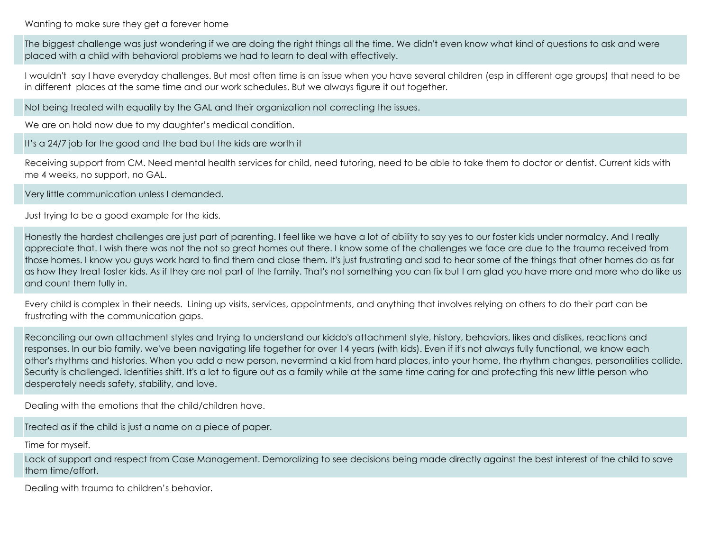Wanting to make sure they get a forever home

The biggest challenge was just wondering if we are doing the right things all the time. We didn't even know what kind of questions to ask and were placed with a child with behavioral problems we had to learn to deal with effectively.

I wouldn't say I have everyday challenges. But most often time is an issue when you have several children (esp in different age groups) that need to be in different places at the same time and our work schedules. But we always figure it out together.

Not being treated with equality by the GAL and their organization not correcting the issues.

We are on hold now due to my daughter's medical condition.

It's a 24/7 job for the good and the bad but the kids are worth it

Receiving support from CM. Need mental health services for child, need tutoring, need to be able to take them to doctor or dentist. Current kids with me 4 weeks, no support, no GAL.

Very little communication unless I demanded.

Just trying to be a good example for the kids.

Honestly the hardest challenges are just part of parenting. I feel like we have a lot of ability to say yes to our foster kids under normalcy. And I really appreciate that. I wish there was not the not so great homes out there. I know some of the challenges we face are due to the trauma received from those homes. I know you guys work hard to find them and close them. It's just frustrating and sad to hear some of the things that other homes do as far as how they treat foster kids. As if they are not part of the family. That's not something you can fix but I am glad you have more and more who do like us and count them fully in.

Every child is complex in their needs. Lining up visits, services, appointments, and anything that involves relying on others to do their part can be frustrating with the communication gaps.

Reconciling our own attachment styles and trying to understand our kiddo's attachment style, history, behaviors, likes and dislikes, reactions and responses. 
In our bio family, we've been navigating life together for over 14 years (with kids). Even if it's not always fully functional, we know each other's rhythms and histories. When you add a new person, nevermind a kid from hard places, into your home, the rhythm changes, personalities collide. Security is challenged. Identities shift. It's a lot to figure out as a family while at the same time caring for and protecting this new little person who desperately needs safety, stability, and love.

Dealing with the emotions that the child/children have.

Treated as if the child is just a name on a piece of paper.

Time for myself.

Lack of support and respect from Case Management. Demoralizing to see decisions being made directly against the best interest of the child to save them time/effort.

Dealing with trauma to children's behavior.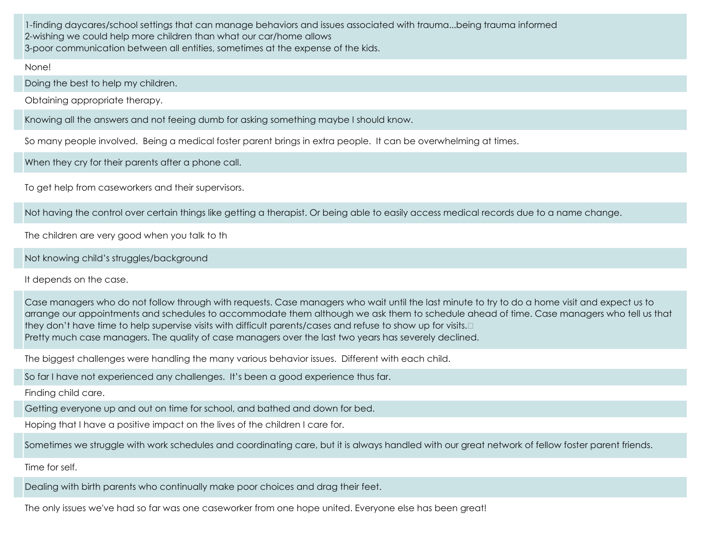1-finding daycares/school settings that can manage behaviors and issues associated with trauma...being trauma informed 2-wishing we could help more children than what our car/home allows 3-poor communication between all entities, sometimes at the expense of the kids.

None!

Doing the best to help my children.

Obtaining appropriate therapy.

Knowing all the answers and not feeing dumb for asking something maybe I should know.

So many people involved. Being a medical foster parent brings in extra people. It can be overwhelming at times.

When they cry for their parents after a phone call.

To get help from caseworkers and their supervisors.

Not having the control over certain things like getting a therapist. Or being able to easily access medical records due to a name change.

The children are very good when you talk to th

Not knowing child's struggles/background

It depends on the case.

Case managers who do not follow through with requests. Case managers who wait until the last minute to try to do a home visit and expect us to arrange our appointments and schedules to accommodate them although we ask them to schedule ahead of time. Case managers who tell us that they don't have time to help supervise visits with difficult parents/cases and refuse to show up for visits. Pretty much case managers. The quality of case managers over the last two years has severely declined.

The biggest challenges were handling the many various behavior issues. Different with each child.

So far I have not experienced any challenges. It's been a good experience thus far.

Finding child care.

Getting everyone up and out on time for school, and bathed and down for bed.

Hoping that I have a positive impact on the lives of the children I care for.

Sometimes we struggle with work schedules and coordinating care, but it is always handled with our great network of fellow foster parent friends.

Time for self.

Dealing with birth parents who continually make poor choices and drag their feet.

The only issues we've had so far was one caseworker from one hope united. Everyone else has been great!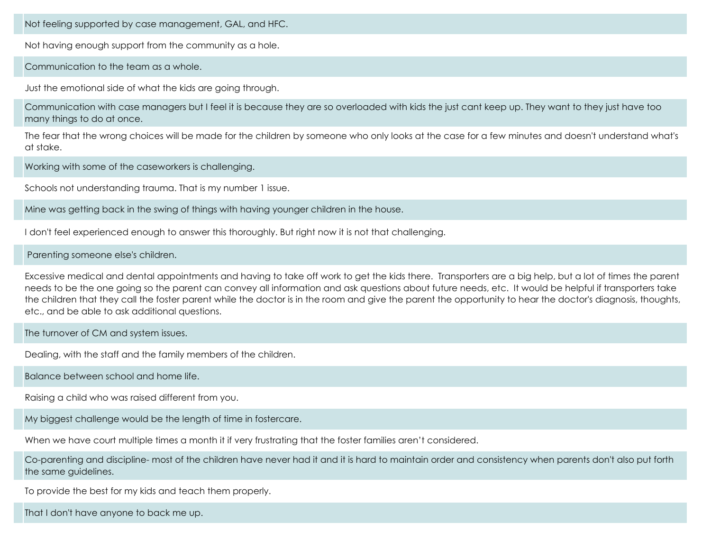Not feeling supported by case management, GAL, and HFC.

Not having enough support from the community as a hole.

Communication to the team as a whole.

Just the emotional side of what the kids are going through.

Communication with case managers but I feel it is because they are so overloaded with kids the just cant keep up. They want to they just have too many things to do at once.

The fear that the wrong choices will be made for the children by someone who only looks at the case for a few minutes and doesn't understand what's at stake.

Working with some of the caseworkers is challenging.

Schools not understanding trauma. That is my number 1 issue.

Mine was getting back in the swing of things with having younger children in the house.

I don't feel experienced enough to answer this thoroughly. But right now it is not that challenging.

## Parenting someone else's children.

Excessive medical and dental appointments and having to take off work to get the kids there. Transporters are a big help, but a lot of times the parent needs to be the one going so the parent can convey all information and ask questions about future needs, etc. It would be helpful if transporters take the children that they call the foster parent while the doctor is in the room and give the parent the opportunity to hear the doctor's diagnosis, thoughts, etc., and be able to ask additional questions.

The turnover of CM and system issues.

Dealing, with the staff and the family members of the children.

Balance between school and home life.

Raising a child who was raised different from you.

My biggest challenge would be the length of time in fostercare.

When we have court multiple times a month it if very frustrating that the foster families aren't considered.

Co-parenting and discipline- most of the children have never had it and it is hard to maintain order and consistency when parents don't also put forth the same guidelines.

To provide the best for my kids and teach them properly.

That I don't have anyone to back me up.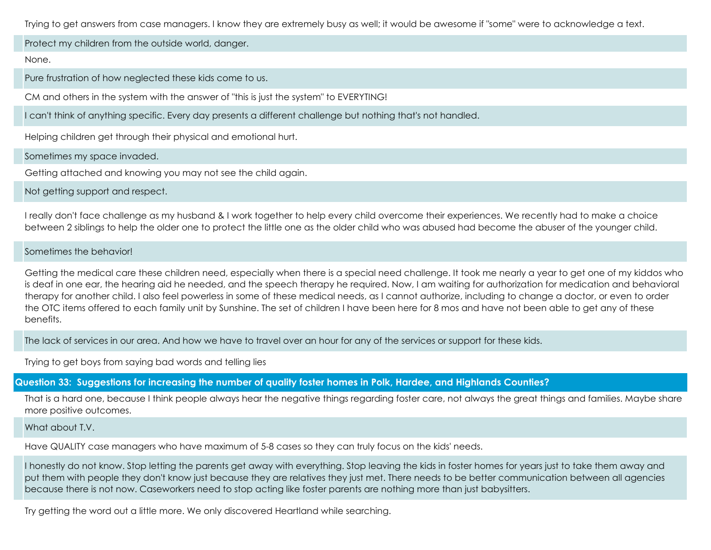Trying to get answers from case managers. I know they are extremely busy as well; it would be awesome if "some" were to acknowledge a text.

Protect my children from the outside world, danger.

#### None.

Pure frustration of how neglected these kids come to us.

CM and others in the system with the answer of "this is just the system" to EVERYTING!

I can't think of anything specific. Every day presents a different challenge but nothing that's not handled.

Helping children get through their physical and emotional hurt.

Sometimes my space invaded.

Getting attached and knowing you may not see the child again.

Not getting support and respect.

I really don't face challenge as my husband & I work together to help every child overcome their experiences. We recently had to make a choice between 2 siblings to help the older one to protect the little one as the older child who was abused had become the abuser of the younger child.

## Sometimes the behavior!

Getting the medical care these children need, especially when there is a special need challenge. It took me nearly a year to get one of my kiddos who is deaf in one ear, the hearing aid he needed, and the speech therapy he required. Now, I am waiting for authorization for medication and behavioral therapy for another child. I also feel powerless in some of these medical needs, as I cannot authorize, including to change a doctor, or even to order the OTC items offered to each family unit by Sunshine. The set of children I have been here for 8 mos and have not been able to get any of these benefits.

The lack of services in our area. And how we have to travel over an hour for any of the services or support for these kids.

Trying to get boys from saying bad words and telling lies

**Question 33: Suggestions for increasing the number of quality foster homes in Polk, Hardee, and Highlands Counties?**

That is a hard one, because I think people always hear the negative things regarding foster care, not always the great things and families. Maybe share more positive outcomes.

What about T.V.

Have QUALITY case managers who have maximum of 5-8 cases so they can truly focus on the kids' needs.

I honestly do not know. Stop letting the parents get away with everything. Stop leaving the kids in foster homes for years just to take them away and put them with people they don't know just because they are relatives they just met. 
There needs to be better communication between all agencies because there is not now.
 Caseworkers need to stop acting like foster parents are nothing more than just babysitters.

Try getting the word out a little more. We only discovered Heartland while searching.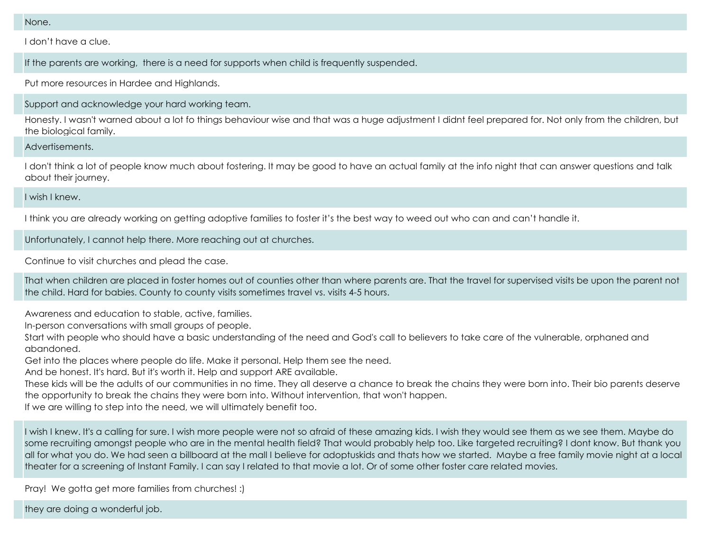None.

I don't have a clue.

If the parents are working, there is a need for supports when child is frequently suspended.

Put more resources in Hardee and Highlands.

Support and acknowledge your hard working team.

Honesty. I wasn't warned about a lot fo things behaviour wise and that was a huge adjustment I didnt feel prepared for. Not only from the children, but the biological family.

Advertisements.

I don't think a lot of people know much about fostering. It may be good to have an actual family at the info night that can answer questions and talk about their journey.

I wish I knew.

I think you are already working on getting adoptive families to foster it's the best way to weed out who can and can't handle it.

Unfortunately, I cannot help there. More reaching out at churches.

Continue to visit churches and plead the case.

That when children are placed in foster homes out of counties other than where parents are. That the travel for supervised visits be upon the parent not the child. Hard for babies. County to county visits sometimes travel vs. visits 4-5 hours.

Awareness and education to stable, active, families.

In-person conversations with small groups of people.

Start with people who should have a basic understanding of the need and God's call to believers to take care of the vulnerable, orphaned and abandoned.

Get into the places where people do life. Make it personal. Help them see the need.

And be honest. It's hard. But it's worth it. Help and support ARE available.

These kids will be the adults of our communities in no time. They all deserve a chance to break the chains they were born into. Their bio parents deserve the opportunity to break the chains they were born into. Without intervention, that won't happen.

If we are willing to step into the need, we will ultimately benefit too.

I wish I knew. It's a calling for sure. I wish more people were not so afraid of these amazing kids. I wish they would see them as we see them. Maybe do some recruiting amongst people who are in the mental health field? That would probably help too. Like targeted recruiting? I dont know. But thank you all for what you do. We had seen a billboard at the mall I believe for adoptuskids and thats how we started. Maybe a free family movie night at a local theater for a screening of Instant Family. I can say I related to that movie a lot. Or of some other foster care related movies.

Pray! We gotta get more families from churches! :)

they are doing a wonderful job.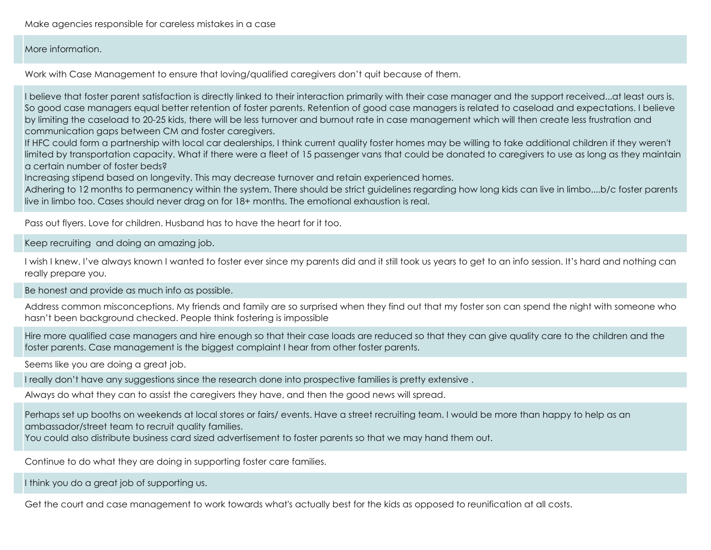Make agencies responsible for careless mistakes in a case

#### More information.

Work with Case Management to ensure that loving/qualified caregivers don't quit because of them.

I believe that foster parent satisfaction is directly linked to their interaction primarily with their case manager and the support received...at least ours is. So good case managers equal better retention of foster parents. Retention of good case managers is related to caseload and expectations. I believe by limiting the caseload to 20-25 kids, there will be less turnover and burnout rate in case management which will then create less frustration and communication gaps between CM and foster caregivers.

If HFC could form a partnership with local car dealerships, I think current quality foster homes may be willing to take additional children if they weren't limited by transportation capacity. What if there were a fleet of 15 passenger vans that could be donated to caregivers to use as long as they maintain a certain number of foster beds?

Increasing stipend based on longevity. This may decrease turnover and retain experienced homes.

Adhering to 12 months to permanency within the system. There should be strict guidelines regarding how long kids can live in limbo....b/c foster parents live in limbo too. Cases should never drag on for 18+ months. The emotional exhaustion is real.

Pass out flyers
. Love for children. Husband has to have the heart for it too.

Keep recruiting and doing an amazing job.

I wish I knew. I've always known I wanted to foster ever since my parents did and it still took us years to get to an info session. It's hard and nothing can really prepare you.

Be honest and provide as much info as possible.

Address common misconceptions. My friends and family are so surprised when they find out that my foster son can spend the night with someone who hasn't been background checked. People think fostering is impossible

Hire more qualified case managers and hire enough so that their case loads are reduced so that they can give quality care to the children and the foster parents. Case management is the biggest complaint I hear from other foster parents.

Seems like you are doing a great job.

I really don't have any suggestions since the research done into prospective families is pretty extensive .

Always do what they can to assist the caregivers they have, and then the good news will spread.

Perhaps set up booths on weekends at local stores or fairs/ events. Have a street recruiting team. I would be more than happy to help as an ambassador/street team to recruit quality families.

You could also distribute business card sized advertisement to foster parents so that we may hand them out.

Continue to do what they are doing in supporting foster care families.

I think you do a great job of supporting us.

Get the court and case management to work towards what's actually best for the kids as opposed to reunification at all costs.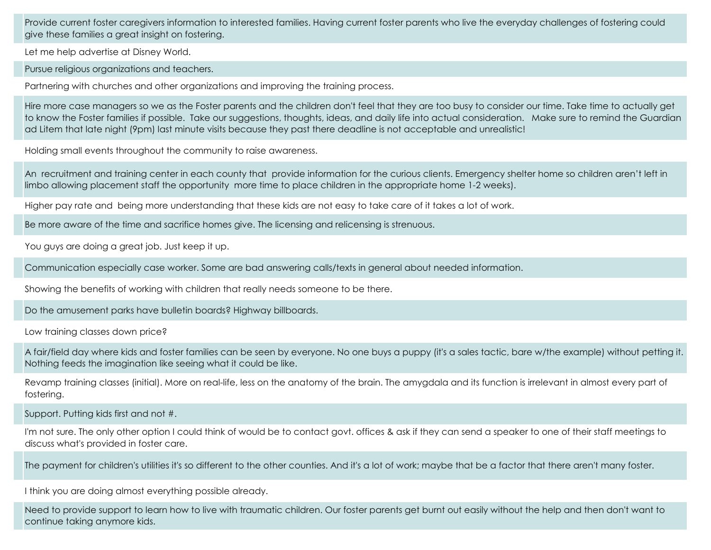Provide current foster caregivers information to interested families. Having current foster parents who live the everyday challenges of fostering could give these families a great insight on fostering.

Let me help advertise at Disney World.

Pursue religious organizations and teachers.

Partnering with churches and other organizations and improving the training process.

Hire more case managers so we as the Foster parents and the children don't feel that they are too busy to consider our time. Take time to actually get to know the Foster families if possible. Take our suggestions, thoughts, ideas, and daily life into actual consideration. Make sure to remind the Guardian ad Litem that late night (9pm) last minute visits because they past there deadline is not acceptable and unrealistic!

Holding small events throughout the community to raise awareness.

An recruitment and training center in each county that provide information for the curious clients. Emergency shelter home so children aren't left in limbo allowing placement staff the opportunity more time to place children in the appropriate home 1-2 weeks).

Higher pay rate and being more understanding that these kids are not easy to take care of it takes a lot of work.

Be more aware of the time and sacrifice homes give. The licensing and relicensing is strenuous.

You guys are doing a great job. Just keep it up.

Communication especially case worker. Some are bad answering calls/texts in general about needed information.

Showing the benefits of working with children that really needs someone to be there.

Do the amusement parks have bulletin boards? Highway billboards.

Low training classes down price?

A fair/field day where kids and foster families can be seen by everyone. No one buys a puppy (it's a sales tactic, bare w/the example) without petting it. Nothing feeds the imagination like seeing what it could be like.

Revamp training classes (initial). More on real-life, less on the anatomy of the brain. The amygdala and its function is irrelevant in almost every part of fostering.

Support. Putting kids first and not #.

I'm not sure. The only other option I could think of would be to contact govt. offices & ask if they can send a speaker to one of their staff meetings to discuss what's provided in foster care.

The payment for children's utilities it's so different to the other counties. And it's a lot of work; maybe that be a factor that there aren't many foster.

I think you are doing almost everything possible already.

Need to provide support to learn how to live with traumatic children. Our foster parents get burnt out easily without the help and then don't want to continue taking anymore kids.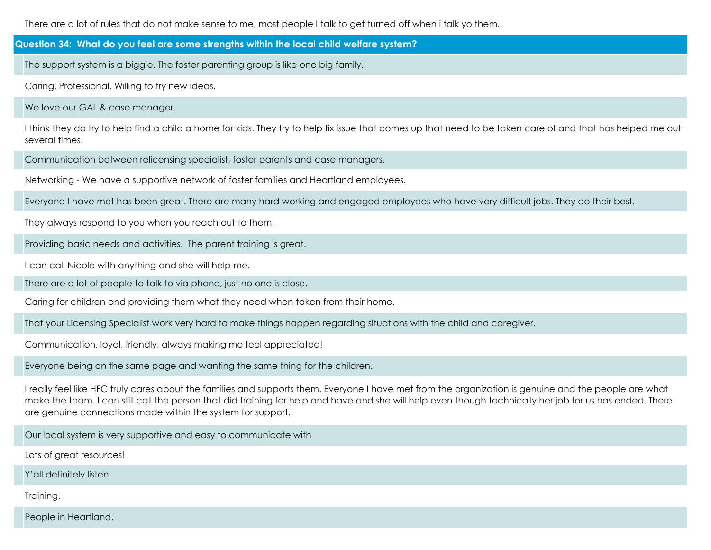There are a lot of rules that do not make sense to me, most people I talk to get turned off when i talk yo them.

**Question 34: What do you feel are some strengths within the local child welfare system?**

The support system is a biggie. The foster parenting group is like one big family.

Caring. Professional. Willing to try new ideas.

We love our GAL & case manager.

I think they do try to help find a child a home for kids. They try to help fix issue that comes up that need to be taken care of and that has helped me out several times.

Communication between relicensing specialist, foster parents and case managers.

Networking - We have a supportive network of foster families and Heartland employees.

Everyone I have met has been great. There are many hard working and engaged employees who have very difficult jobs. They do their best.

They always respond to you when you reach out to them.

Providing basic needs and activities. The parent training is great.

I can call Nicole with anything and she will help me.

There are a lot of people to talk to via phone, just no one is close.

Caring for children and providing them what they need when taken from their home.

That your Licensing Specialist work very hard to make things happen regarding situations with the child and caregiver.

Communication, loyal, friendly, always making me feel appreciated!

Everyone being on the same page and wanting the same thing for the children.

I really feel like HFC truly cares about the families and supports them. Everyone I have met from the organization is genuine and the people are what make the team. I can still call the person that did training for help and have and she will help even though technically her job for us has ended. There are genuine connections made within the system for support.

Our local system is very supportive and easy to communicate with

Lots of great resources!

Y'all definitely listen

Training.

People in Heartland.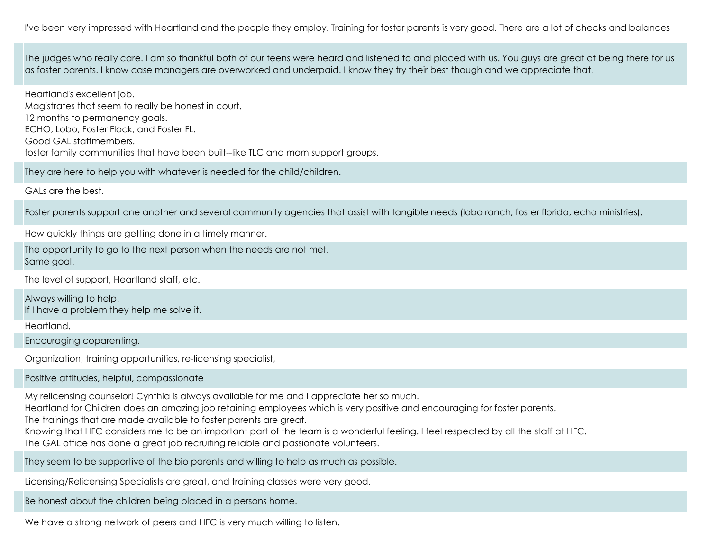I've been very impressed with Heartland and the people they employ.
 Training for foster parents is very good.
 There are a lot of checks and balances

The judges who really care. I am so thankful both of our teens were heard and listened to and placed with us. 
You guys are great at being there for us as foster parents. 
I know case managers are overworked and underpaid. I know they try their best though and we appreciate that.

Heartland's excellent job. Magistrates that seem to really be honest in court. 12 months to permanency goals. ECHO, Lobo, Foster Flock, and Foster FL
. Good GAL staffmembers
. foster family communities that have been built--like TLC and mom support groups
.

They are here to help you with whatever is needed for the child/children.

GALs are the best.

Foster parents support one another and several community agencies that assist with tangible needs (lobo ranch, foster florida, echo ministries).

How quickly things are getting done in a timely manner.

The opportunity to go to the next person when the needs are not met
. Same goal.

The level of support, Heartland staff, etc.

Always willing to help
. If I have a problem they help me solve it.

Heartland.

Encouraging coparenting.

Organization, training opportunities, re-licensing specialist,

Positive attitudes, helpful, compassionate

My relicensing counselor! Cynthia is always available for me and I appreciate her so much.

Heartland for Children does an amazing job retaining employees which is very positive and encouraging for foster parents.

The trainings that are made available to foster parents are great.

Knowing that HFC considers me to be an important part of the team is a wonderful feeling. I feel respected by all the staff at HFC.

The GAL office has done a great job recruiting reliable and passionate volunteers.

They seem to be supportive of the bio parents and willing to help as much as possible.

Licensing/Relicensing Specialists are great, and training classes were very good.

Be honest about the children being placed in a persons home.

We have a strong network of peers and HFC is very much willing to listen.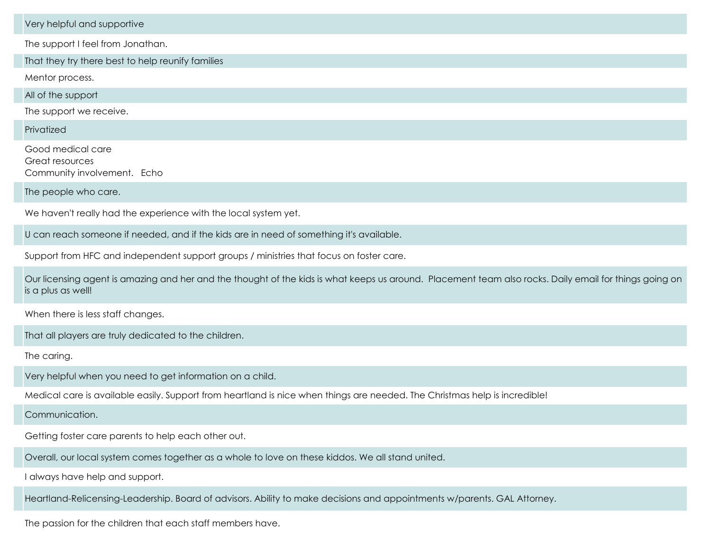Very helpful and supportive

The support I feel from Jonathan.

That they try there best to help reunify families

Mentor process.

All of the support

The support we receive.

**Privatized** 

Good medical care Great resources Community involvement. Echo

The people who care.

We haven't really had the experience with the local system yet.

U can reach someone if needed, and if the kids are in need of something it's available.

Support from HFC and independent support groups / ministries that focus on foster care.

Our licensing agent is amazing and her and the thought of the kids is what keeps us around. Placement team also rocks. Daily email for things going on is a plus as well!

When there is less staff changes.

That all players are truly dedicated to the children.

The caring.

Very helpful when you need to get information on a child.

Medical care is available easily. Support from heartland is nice when things are needed. The Christmas help is incredible!

Communication.

Getting foster care parents to help each other out.

Overall, our local system comes together as a whole to love on these kiddos. We all stand united.

I always have help and support.

Heartland-Relicensing-Leadership. Board of advisors. Ability to make decisions and appointments w/parents. GAL Attorney.

The passion for the children that each staff members have.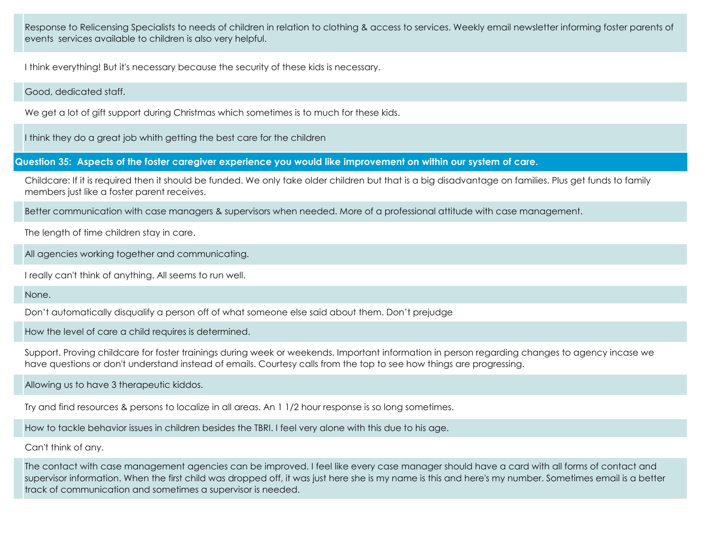Response to Relicensing Specialists to needs of children in relation to clothing & access to services. Weekly email newsletter informing foster parents of events services available to children is also very helpful.

I think everything! But it's necessary because the security of these kids is necessary.

### Good, dedicated staff.

We get a lot of gift support during Christmas which sometimes is to much for these kids.

I think they do a great job whith getting the best care for the children

**Question 35: Aspects of the foster caregiver experience you would like improvement on within our system of care.**

Childcare: If it is required then it should be funded. We only take older children but that is a big disadvantage on families. Plus get funds to family members just like a foster parent receives.

Better communication with case managers & supervisors when needed. More of a professional attitude with case management.

The length of time children stay in care.

All agencies working together and communicating.

I really can't think of anything. All seems to run well.

None.

Don't automatically disqualify a person off of what someone else said about them. Don't prejudge

How the level of care a child requires is determined.

Support. Proving childcare for foster trainings during week or weekends
. Important information in person regarding changes to agency incase we have questions or don't understand instead of emails
. Courtesy calls from the top to see how things are progressing.

Allowing us to have 3 therapeutic kiddos.

Try and find resources & persons to localize in all areas. An 1 1/2 hour response is so long sometimes.

How to tackle behavior issues in children besides the TBRI. I feel very alone with this due to his age.

Can't think of any.

The contact with case management agencies can be improved. I feel like every case manager should have a card with all forms of contact and supervisor information. When the first child was dropped off, it was just here she is my name is this and here's my number. Sometimes email is a better track of communication and sometimes a supervisor is needed.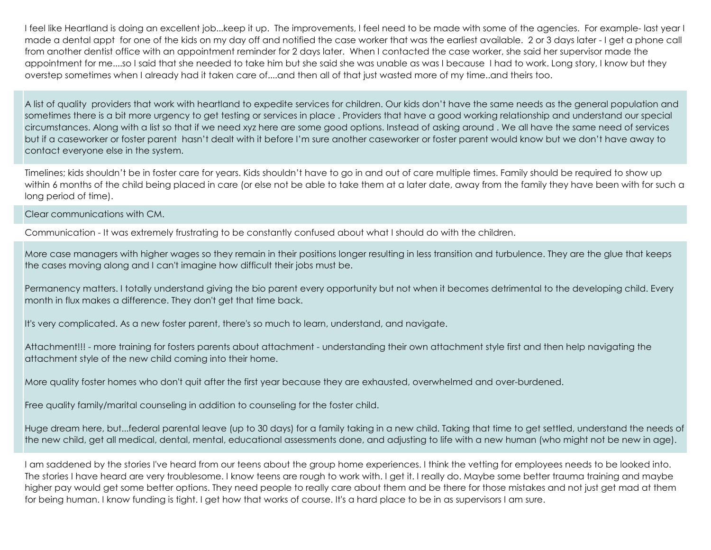I feel like Heartland is doing an excellent job...keep it up. The improvements, I feel need to be made with some of the agencies. For example- last year I made a dental appt for one of the kids on my day off and notified the case worker that was the earliest available. 2 or 3 days later - I get a phone call from another dentist office with an appointment reminder for 2 days later. When I contacted the case worker, she said her supervisor made the appointment for me....so I said that she needed to take him but she said she was unable
 as was I because I had to work. Long story, I know but they overstep sometimes when I already had it taken care of....and then all of that just wasted more of my time..and theirs too.

A list of quality providers that work with heartland to expedite services for children. Our kids don't have the same needs as the general population and sometimes there is a bit more urgency to get testing or services in place . Providers that have a good working relationship and understand our special circumstances. Along with a list so that if we need xyz here are some good options. Instead of asking around . We all have the same need of services but if a caseworker or foster parent hasn't dealt with it before I'm sure another caseworker or foster parent would know but we don't have away to contact everyone else in the system.

Timelines; kids shouldn't be in foster care for years. Kids shouldn't have to go in and out of care multiple times. Family should be required to show up within 6 months of the child being placed in care (or else not be able to take them at a later date, away from the family they have been with for such a long period of time).

Clear communications with CM.

Communication - It was extremely frustrating to be constantly confused about what I should do with the children.

More case managers with higher wages so they remain in their positions longer resulting in less transition and turbulence. They are the glue that keeps the cases moving along and I can't imagine how difficult their jobs must be.

Permanency matters. I totally understand giving the bio parent every opportunity but not when it becomes detrimental to the developing child. Every month in flux makes a difference. They don't get that time back.

It's very complicated. As a new foster parent, there's so much to learn, understand, and navigate.

Attachment!!! - more training for fosters parents about attachment - understanding their own attachment style first and then help navigating the attachment style of the new child coming into their home.

More quality foster homes who don't quit after the first year because they are exhausted, overwhelmed and over-burdened.

Free quality family/marital counseling in addition to counseling for the foster child.

Huge dream here, but...federal parental leave (up to 30 days) for a family taking in a new child. Taking that time to get settled, understand the needs of the new child, get all medical, dental, mental, educational assessments done, and adjusting to life with a new human (who might not be new in age).

I am saddened by the stories I've heard from our teens about the group home experiences. I think the vetting for employees needs to be looked into. The stories I have heard are very troublesome. I know teens are rough to work with. I get it. I really do. Maybe some better trauma training and maybe higher pay would get some better options. They need people to really care about them and be there for those mistakes and not just get mad at them for being human. I know funding is tight. I get how that works of course. It's a hard place to be in as supervisors I am sure.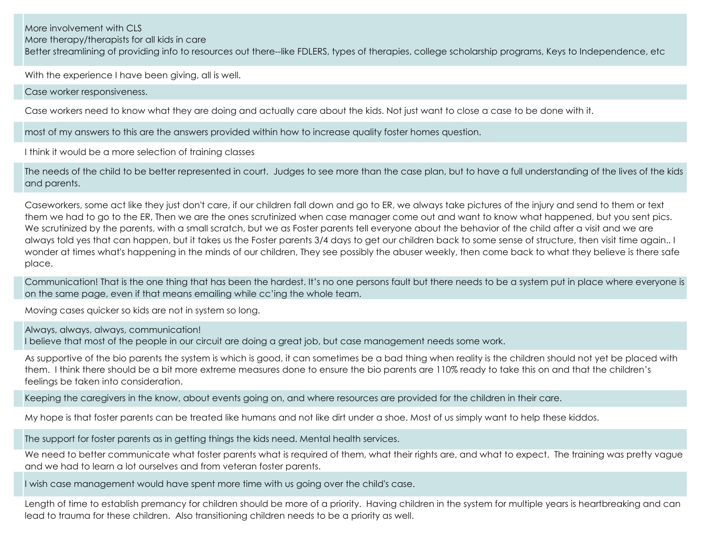More involvement with CLS

More therapy/therapists for all kids in care

Better streamlining of providing info to resources out there--like FDLERS, types of therapies, college scholarship programs, Keys to Independence, etc

With the experience I have been giving, all is well.

Case worker responsiveness.

Case workers need to know what they are doing and actually care about the kids. Not just want to close a case to be done with it.

most of my answers to this are the answers provided within how to increase quality foster homes question.

I think it would be a more selection of training classes

The needs of the child to be better represented in court. Judges to see more than the case plan, but to have a full understanding of the lives of the kids and parents.

Caseworkers, some act like they just don't care, if our children fall down and go to ER, we always take pictures of the injury and send to them or text them we had to go to the ER, Then we are the ones scrutinized when case manager come out and want to know what happened, but you sent pics. We scrutinized by the parents, with a small scratch, but we as Foster parents tell everyone about the behavior of the child after a visit and we are always told yes that can happen, but it takes us the Foster parents 3/4 days to get our children back to some sense of structure, then visit time again.. I wonder at times what's happening in the minds of our children, They see possibly the abuser weekly, then come back to what they believe is there safe place.

Communication! That is the one thing that has been the hardest. It's no one persons fault but there needs to be a system put in place where everyone is on the same page, even if that means emailing while cc'ing the whole team.

Moving cases quicker so kids are not in system so long.

Always, always, always, communication! I believe that most of the people in our circuit are doing a great job, but case management needs some work.

As supportive of the bio parents the system is which is good, it can sometimes be a bad thing when reality is the children should not yet be placed with them. I think there should be a bit more extreme measures done to ensure the bio parents are 110% ready to take this on and that the children's feelings be taken into consideration.

Keeping the caregivers in the know, about events going on, and where resources are provided for the children in their care.

My hope is that foster parents can be treated like humans and not like dirt under a shoe. Most of us simply want to help these kiddos.

The support for foster parents as in getting things the kids need. Mental health services.

We need to better communicate what foster parents what is required of them, what their rights are, and what to expect. The training was pretty vague and we had to learn a lot ourselves and from veteran foster parents.

I wish case management would have spent more time with us going over the child's case.

Length of time to establish premancy for children should be more of a priority. Having children in the system for multiple years is heartbreaking and can lead to trauma for these children. Also transitioning children needs to be a priority as well.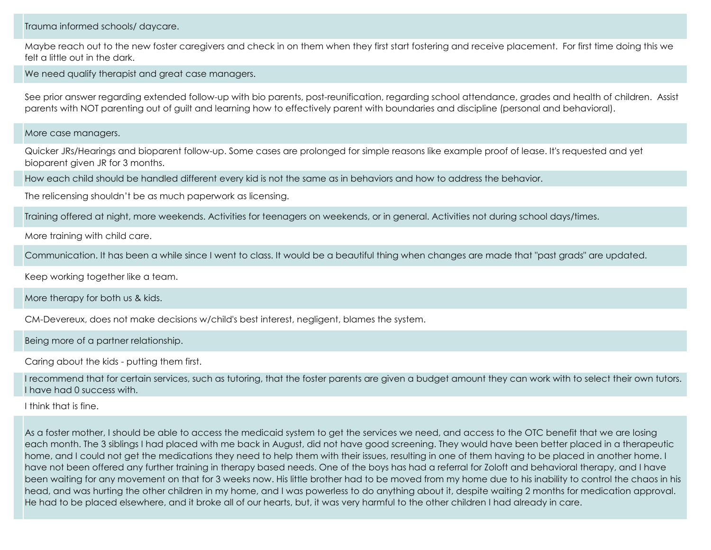Trauma informed schools/ daycare.

Maybe reach out to the new foster caregivers and check in on them when they first start fostering and receive placement. For first time doing this we felt a little out in the dark.

We need qualify therapist and great case managers.

See prior answer regarding extended follow-up with bio parents, post-reunification, regarding school attendance, grades and health of children. Assist parents with NOT parenting out of guilt and learning how to effectively parent with boundaries and discipline (personal and behavioral).

More case managers.

Quicker JRs/Hearings and bioparent follow-up. Some cases are prolonged for simple reasons like example proof of lease. It's requested and yet bioparent given JR for 3 months.

How each child should be handled different every kid is not the same as in behaviors and how to address the behavior.

The relicensing shouldn't be as much paperwork as licensing.

Training offered at night, more weekends. Activities for teenagers on weekends, or in general. Activities not during school days/times.

More training with child care.

Communication. It has been a while since I went to class. It would be a beautiful thing when changes are made that "past grads" are updated.

Keep working together like a team.

More therapy for both us & kids.

CM-Devereux, does not make decisions w/child's best interest, negligent, blames the system.

Being more of a partner relationship.

Caring about the kids - putting them first.

I recommend that for certain services, such as tutoring, that the foster parents are given a budget amount they can work with to select their own tutors. I have had 0 success with.

I think that is fine.

As a foster mother, I should be able to access the medicaid system to get the services we need, and access to the OTC benefit that we are losing each month. The 3 siblings I had placed with me back in August, did not have good screening. They would have been better placed in a therapeutic home, and I could not get the medications they need to help them with their issues, resulting in one of them having to be placed in another home. I have not been offered any further training in therapy based needs. One of the boys has had a referral for Zoloft and behavioral therapy, and I have been waiting for any movement on that for 3 weeks now. His little brother had to be moved from my home due to his inability to control the chaos in his head, and was hurting the other children in my home, and I was powerless to do anything about it, despite waiting 2 months for medication approval. He had to be placed elsewhere, and it broke all of our hearts, but, it was very harmful to the other children I had already in care.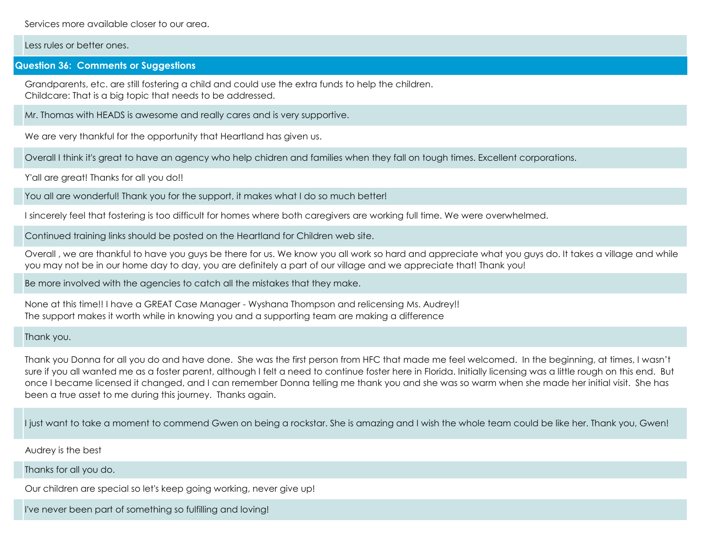Services more available closer to our area.

#### Less rules or better ones.

#### **Question 36: Comments or Suggestions**

Grandparents, etc. are still fostering a child and could use the extra funds to help the children. Childcare: That is a big topic that needs to be addressed.

Mr. Thomas with HEADS is awesome and really cares and is very supportive.

We are very thankful for the opportunity that Heartland has given us.

Overall I think it's great to have an agency who help chidren and families when they fall on tough times. Excellent corporations.

Y'all are great! Thanks for all you do!!

You all are wonderful! Thank you for the support, it makes what I do so much better!

I sincerely feel that fostering is too difficult for homes where both caregivers are working full time. We were overwhelmed.

Continued training links should be posted on the Heartland for Children web site.

Overall , we are thankful to have you guys be there for us. We know you all work so hard and appreciate what you guys do. It takes a village and while you may not be in our home day to day, you are definitely a part of our village and we appreciate that! Thank you!

Be more involved with the agencies to catch all the mistakes that they make.

None at this time!! I have a GREAT Case Manager
 - Wyshana Thompson and relicensing Ms. Audrey!! The support makes it worth while in knowing you and a supporting team are making a difference

#### Thank you.

Thank you Donna for all you do and have done. She was the first person from HFC that made me feel welcomed. In the beginning, at times, I wasn't sure if you all wanted me as a foster parent, although I felt a need to continue foster here in Florida. Initially licensing was a little rough on this end. But once I became licensed it changed, and I can remember Donna telling me thank you and she was so warm when she made her initial visit. She has been a true asset to me during this journey. Thanks again.

I just want to take a moment to commend Gwen on being a rockstar. She is amazing and I wish the whole team could be like her. Thank you, Gwen!

Audrey is the best

Thanks for all you do.

Our children are special so let's keep going working, never give up!

I've never been part of something so fulfilling and loving!